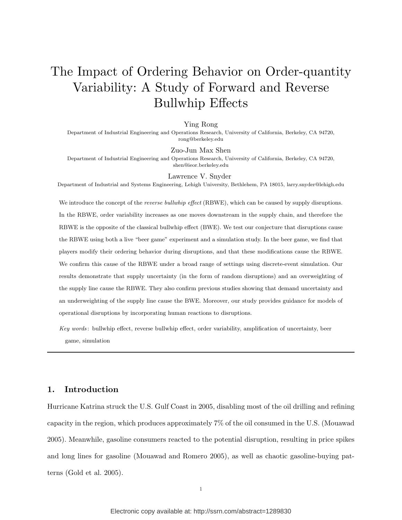# The Impact of Ordering Behavior on Order-quantity Variability: A Study of Forward and Reverse Bullwhip Effects

#### Ying Rong

Department of Industrial Engineering and Operations Research, University of California, Berkeley, CA 94720, rong@berkeley.edu

#### Zuo-Jun Max Shen

Department of Industrial Engineering and Operations Research, University of California, Berkeley, CA 94720, shen@ieor.berkeley.edu

#### Lawrence V. Snyder

Department of Industrial and Systems Engineering, Lehigh University, Bethlehem, PA 18015, larry.snyder@lehigh.edu

We introduce the concept of the *reverse bullwhip effect* (RBWE), which can be caused by supply disruptions. In the RBWE, order variability increases as one moves downstream in the supply chain, and therefore the RBWE is the opposite of the classical bullwhip effect (BWE). We test our conjecture that disruptions cause the RBWE using both a live "beer game" experiment and a simulation study. In the beer game, we find that players modify their ordering behavior during disruptions, and that these modifications cause the RBWE. We confirm this cause of the RBWE under a broad range of settings using discrete-event simulation. Our results demonstrate that supply uncertainty (in the form of random disruptions) and an overweighting of the supply line cause the RBWE. They also confirm previous studies showing that demand uncertainty and an underweighting of the supply line cause the BWE. Moreover, our study provides guidance for models of operational disruptions by incorporating human reactions to disruptions.

Key words: bullwhip effect, reverse bullwhip effect, order variability, amplification of uncertainty, beer game, simulation

# 1. Introduction

Hurricane Katrina struck the U.S. Gulf Coast in 2005, disabling most of the oil drilling and refining capacity in the region, which produces approximately 7% of the oil consumed in the U.S. (Mouawad 2005). Meanwhile, gasoline consumers reacted to the potential disruption, resulting in price spikes and long lines for gasoline (Mouawad and Romero 2005), as well as chaotic gasoline-buying patterns (Gold et al. 2005).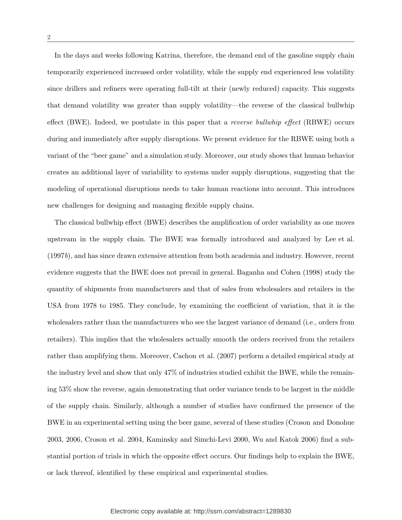In the days and weeks following Katrina, therefore, the demand end of the gasoline supply chain temporarily experienced increased order volatility, while the supply end experienced less volatility since drillers and refiners were operating full-tilt at their (newly reduced) capacity. This suggests that demand volatility was greater than supply volatility—the reverse of the classical bullwhip effect (BWE). Indeed, we postulate in this paper that a *reverse bullwhip effect* (RBWE) occurs during and immediately after supply disruptions. We present evidence for the RBWE using both a variant of the "beer game" and a simulation study. Moreover, our study shows that human behavior creates an additional layer of variability to systems under supply disruptions, suggesting that the modeling of operational disruptions needs to take human reactions into account. This introduces new challenges for designing and managing flexible supply chains.

The classical bullwhip effect (BWE) describes the amplification of order variability as one moves upstream in the supply chain. The BWE was formally introduced and analyzed by Lee et al. (1997b), and has since drawn extensive attention from both academia and industry. However, recent evidence suggests that the BWE does not prevail in general. Baganha and Cohen (1998) study the quantity of shipments from manufacturers and that of sales from wholesalers and retailers in the USA from 1978 to 1985. They conclude, by examining the coefficient of variation, that it is the wholesalers rather than the manufacturers who see the largest variance of demand (i.e., orders from retailers). This implies that the wholesalers actually smooth the orders received from the retailers rather than amplifying them. Moreover, Cachon et al. (2007) perform a detailed empirical study at the industry level and show that only 47% of industries studied exhibit the BWE, while the remaining 53% show the reverse, again demonstrating that order variance tends to be largest in the middle of the supply chain. Similarly, although a number of studies have confirmed the presence of the BWE in an experimental setting using the beer game, several of these studies (Croson and Donohue 2003, 2006, Croson et al. 2004, Kaminsky and Simchi-Levi 2000, Wu and Katok 2006) find a substantial portion of trials in which the opposite effect occurs. Our findings help to explain the BWE, or lack thereof, identified by these empirical and experimental studies.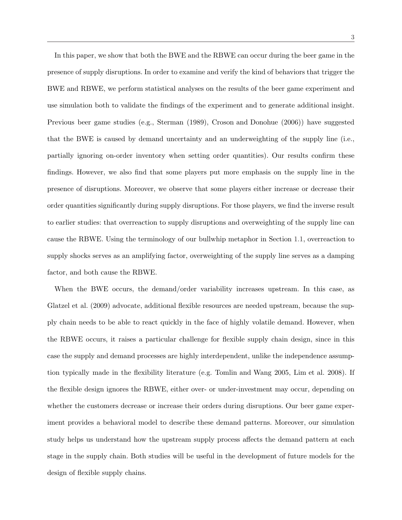In this paper, we show that both the BWE and the RBWE can occur during the beer game in the presence of supply disruptions. In order to examine and verify the kind of behaviors that trigger the BWE and RBWE, we perform statistical analyses on the results of the beer game experiment and use simulation both to validate the findings of the experiment and to generate additional insight. Previous beer game studies (e.g., Sterman (1989), Croson and Donohue (2006)) have suggested that the BWE is caused by demand uncertainty and an underweighting of the supply line (i.e., partially ignoring on-order inventory when setting order quantities). Our results confirm these findings. However, we also find that some players put more emphasis on the supply line in the presence of disruptions. Moreover, we observe that some players either increase or decrease their order quantities significantly during supply disruptions. For those players, we find the inverse result to earlier studies: that overreaction to supply disruptions and overweighting of the supply line can cause the RBWE. Using the terminology of our bullwhip metaphor in Section 1.1, overreaction to supply shocks serves as an amplifying factor, overweighting of the supply line serves as a damping factor, and both cause the RBWE.

When the BWE occurs, the demand/order variability increases upstream. In this case, as Glatzel et al. (2009) advocate, additional flexible resources are needed upstream, because the supply chain needs to be able to react quickly in the face of highly volatile demand. However, when the RBWE occurs, it raises a particular challenge for flexible supply chain design, since in this case the supply and demand processes are highly interdependent, unlike the independence assumption typically made in the flexibility literature (e.g. Tomlin and Wang 2005, Lim et al. 2008). If the flexible design ignores the RBWE, either over- or under-investment may occur, depending on whether the customers decrease or increase their orders during disruptions. Our beer game experiment provides a behavioral model to describe these demand patterns. Moreover, our simulation study helps us understand how the upstream supply process affects the demand pattern at each stage in the supply chain. Both studies will be useful in the development of future models for the design of flexible supply chains.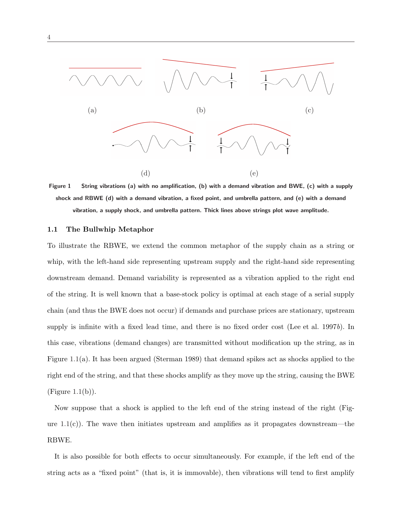

Figure 1 String vibrations (a) with no amplification, (b) with a demand vibration and BWE, (c) with a supply shock and RBWE (d) with a demand vibration, a fixed point, and umbrella pattern, and (e) with a demand vibration, a supply shock, and umbrella pattern. Thick lines above strings plot wave amplitude.

#### 1.1 The Bullwhip Metaphor

To illustrate the RBWE, we extend the common metaphor of the supply chain as a string or whip, with the left-hand side representing upstream supply and the right-hand side representing downstream demand. Demand variability is represented as a vibration applied to the right end of the string. It is well known that a base-stock policy is optimal at each stage of a serial supply chain (and thus the BWE does not occur) if demands and purchase prices are stationary, upstream supply is infinite with a fixed lead time, and there is no fixed order cost (Lee et al. 1997b). In this case, vibrations (demand changes) are transmitted without modification up the string, as in Figure 1.1(a). It has been argued (Sterman 1989) that demand spikes act as shocks applied to the right end of the string, and that these shocks amplify as they move up the string, causing the BWE  $(Figure 1.1(b)).$ 

Now suppose that a shock is applied to the left end of the string instead of the right (Figure 1.1(c)). The wave then initiates upstream and amplifies as it propagates downstream—the RBWE.

It is also possible for both effects to occur simultaneously. For example, if the left end of the string acts as a "fixed point" (that is, it is immovable), then vibrations will tend to first amplify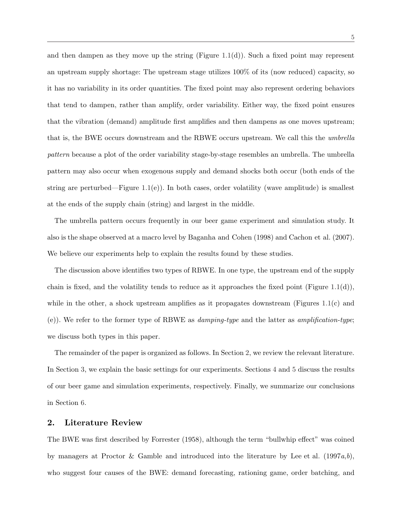and then dampen as they move up the string (Figure 1.1(d)). Such a fixed point may represent an upstream supply shortage: The upstream stage utilizes 100% of its (now reduced) capacity, so it has no variability in its order quantities. The fixed point may also represent ordering behaviors that tend to dampen, rather than amplify, order variability. Either way, the fixed point ensures that the vibration (demand) amplitude first amplifies and then dampens as one moves upstream; that is, the BWE occurs downstream and the RBWE occurs upstream. We call this the umbrella pattern because a plot of the order variability stage-by-stage resembles an umbrella. The umbrella pattern may also occur when exogenous supply and demand shocks both occur (both ends of the string are perturbed—Figure 1.1(e)). In both cases, order volatility (wave amplitude) is smallest at the ends of the supply chain (string) and largest in the middle.

The umbrella pattern occurs frequently in our beer game experiment and simulation study. It also is the shape observed at a macro level by Baganha and Cohen (1998) and Cachon et al. (2007). We believe our experiments help to explain the results found by these studies.

The discussion above identifies two types of RBWE. In one type, the upstream end of the supply chain is fixed, and the volatility tends to reduce as it approaches the fixed point (Figure 1.1(d)), while in the other, a shock upstream amplifies as it propagates downstream (Figures 1.1(c) and (e)). We refer to the former type of RBWE as *damping-type* and the latter as *amplification-type*; we discuss both types in this paper.

The remainder of the paper is organized as follows. In Section 2, we review the relevant literature. In Section 3, we explain the basic settings for our experiments. Sections 4 and 5 discuss the results of our beer game and simulation experiments, respectively. Finally, we summarize our conclusions in Section 6.

## 2. Literature Review

The BWE was first described by Forrester (1958), although the term "bullwhip effect" was coined by managers at Proctor & Gamble and introduced into the literature by Lee et al.  $(1997a,b)$ , who suggest four causes of the BWE: demand forecasting, rationing game, order batching, and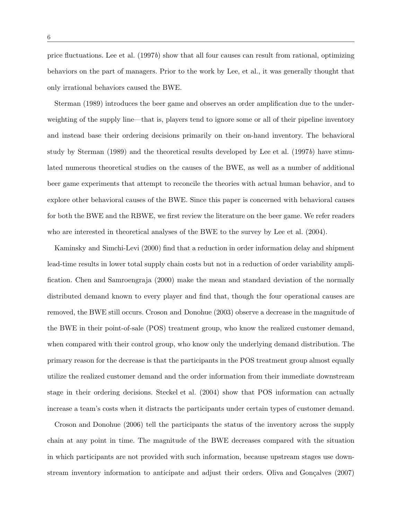price fluctuations. Lee et al.  $(1997b)$  show that all four causes can result from rational, optimizing behaviors on the part of managers. Prior to the work by Lee, et al., it was generally thought that only irrational behaviors caused the BWE.

Sterman (1989) introduces the beer game and observes an order amplification due to the underweighting of the supply line—that is, players tend to ignore some or all of their pipeline inventory and instead base their ordering decisions primarily on their on-hand inventory. The behavioral study by Sterman (1989) and the theoretical results developed by Lee et al. (1997b) have stimulated numerous theoretical studies on the causes of the BWE, as well as a number of additional beer game experiments that attempt to reconcile the theories with actual human behavior, and to explore other behavioral causes of the BWE. Since this paper is concerned with behavioral causes for both the BWE and the RBWE, we first review the literature on the beer game. We refer readers who are interested in theoretical analyses of the BWE to the survey by Lee et al. (2004).

Kaminsky and Simchi-Levi (2000) find that a reduction in order information delay and shipment lead-time results in lower total supply chain costs but not in a reduction of order variability amplification. Chen and Samroengraja (2000) make the mean and standard deviation of the normally distributed demand known to every player and find that, though the four operational causes are removed, the BWE still occurs. Croson and Donohue (2003) observe a decrease in the magnitude of the BWE in their point-of-sale (POS) treatment group, who know the realized customer demand, when compared with their control group, who know only the underlying demand distribution. The primary reason for the decrease is that the participants in the POS treatment group almost equally utilize the realized customer demand and the order information from their immediate downstream stage in their ordering decisions. Steckel et al. (2004) show that POS information can actually increase a team's costs when it distracts the participants under certain types of customer demand.

Croson and Donohue (2006) tell the participants the status of the inventory across the supply chain at any point in time. The magnitude of the BWE decreases compared with the situation in which participants are not provided with such information, because upstream stages use downstream inventory information to anticipate and adjust their orders. Oliva and Gonçalves (2007)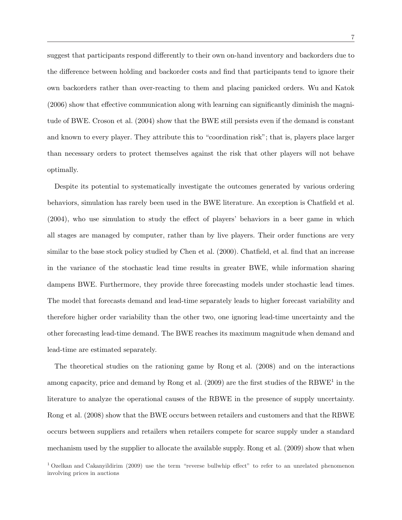suggest that participants respond differently to their own on-hand inventory and backorders due to the difference between holding and backorder costs and find that participants tend to ignore their own backorders rather than over-reacting to them and placing panicked orders. Wu and Katok (2006) show that effective communication along with learning can significantly diminish the magnitude of BWE. Croson et al. (2004) show that the BWE still persists even if the demand is constant and known to every player. They attribute this to "coordination risk"; that is, players place larger than necessary orders to protect themselves against the risk that other players will not behave optimally.

Despite its potential to systematically investigate the outcomes generated by various ordering behaviors, simulation has rarely been used in the BWE literature. An exception is Chatfield et al. (2004), who use simulation to study the effect of players' behaviors in a beer game in which all stages are managed by computer, rather than by live players. Their order functions are very similar to the base stock policy studied by Chen et al. (2000). Chatfield, et al. find that an increase in the variance of the stochastic lead time results in greater BWE, while information sharing dampens BWE. Furthermore, they provide three forecasting models under stochastic lead times. The model that forecasts demand and lead-time separately leads to higher forecast variability and therefore higher order variability than the other two, one ignoring lead-time uncertainty and the other forecasting lead-time demand. The BWE reaches its maximum magnitude when demand and lead-time are estimated separately.

The theoretical studies on the rationing game by Rong et al. (2008) and on the interactions among capacity, price and demand by Rong et al. (2009) are the first studies of the RBWE<sup>1</sup> in the literature to analyze the operational causes of the RBWE in the presence of supply uncertainty. Rong et al. (2008) show that the BWE occurs between retailers and customers and that the RBWE occurs between suppliers and retailers when retailers compete for scarce supply under a standard mechanism used by the supplier to allocate the available supply. Rong et al. (2009) show that when

<sup>&</sup>lt;sup>1</sup> Ozelkan and Cakanyildirim (2009) use the term "reverse bullwhip effect" to refer to an unrelated phenomenon involving prices in auctions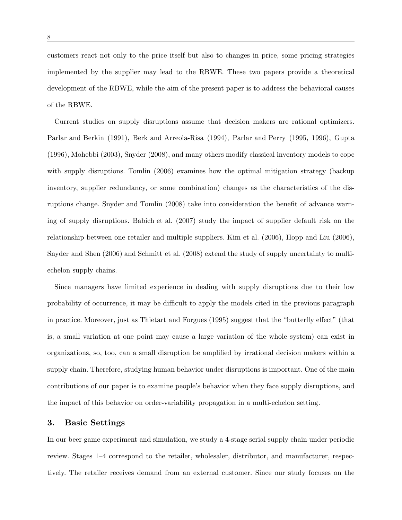customers react not only to the price itself but also to changes in price, some pricing strategies implemented by the supplier may lead to the RBWE. These two papers provide a theoretical development of the RBWE, while the aim of the present paper is to address the behavioral causes of the RBWE.

Current studies on supply disruptions assume that decision makers are rational optimizers. Parlar and Berkin (1991), Berk and Arreola-Risa (1994), Parlar and Perry (1995, 1996), Gupta (1996), Mohebbi (2003), Snyder (2008), and many others modify classical inventory models to cope with supply disruptions. Tomlin (2006) examines how the optimal mitigation strategy (backup inventory, supplier redundancy, or some combination) changes as the characteristics of the disruptions change. Snyder and Tomlin (2008) take into consideration the benefit of advance warning of supply disruptions. Babich et al. (2007) study the impact of supplier default risk on the relationship between one retailer and multiple suppliers. Kim et al. (2006), Hopp and Liu (2006), Snyder and Shen (2006) and Schmitt et al. (2008) extend the study of supply uncertainty to multiechelon supply chains.

Since managers have limited experience in dealing with supply disruptions due to their low probability of occurrence, it may be difficult to apply the models cited in the previous paragraph in practice. Moreover, just as Thietart and Forgues (1995) suggest that the "butterfly effect" (that is, a small variation at one point may cause a large variation of the whole system) can exist in organizations, so, too, can a small disruption be amplified by irrational decision makers within a supply chain. Therefore, studying human behavior under disruptions is important. One of the main contributions of our paper is to examine people's behavior when they face supply disruptions, and the impact of this behavior on order-variability propagation in a multi-echelon setting.

#### 3. Basic Settings

In our beer game experiment and simulation, we study a 4-stage serial supply chain under periodic review. Stages 1–4 correspond to the retailer, wholesaler, distributor, and manufacturer, respectively. The retailer receives demand from an external customer. Since our study focuses on the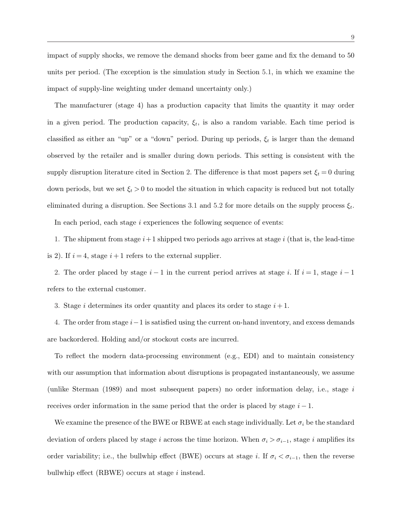impact of supply shocks, we remove the demand shocks from beer game and fix the demand to 50 units per period. (The exception is the simulation study in Section 5.1, in which we examine the impact of supply-line weighting under demand uncertainty only.)

The manufacturer (stage 4) has a production capacity that limits the quantity it may order in a given period. The production capacity,  $\xi_t$ , is also a random variable. Each time period is classified as either an "up" or a "down" period. During up periods,  $\xi_t$  is larger than the demand observed by the retailer and is smaller during down periods. This setting is consistent with the supply disruption literature cited in Section 2. The difference is that most papers set  $\xi_t = 0$  during down periods, but we set  $\xi_t > 0$  to model the situation in which capacity is reduced but not totally eliminated during a disruption. See Sections 3.1 and 5.2 for more details on the supply process  $\xi_t$ .

In each period, each stage i experiences the following sequence of events:

1. The shipment from stage  $i+1$  shipped two periods ago arrives at stage i (that is, the lead-time is 2). If  $i = 4$ , stage  $i + 1$  refers to the external supplier.

2. The order placed by stage  $i-1$  in the current period arrives at stage i. If  $i=1$ , stage  $i-1$ refers to the external customer.

3. Stage i determines its order quantity and places its order to stage  $i + 1$ .

4. The order from stage  $i-1$  is satisfied using the current on-hand inventory, and excess demands are backordered. Holding and/or stockout costs are incurred.

To reflect the modern data-processing environment (e.g., EDI) and to maintain consistency with our assumption that information about disruptions is propagated instantaneously, we assume (unlike Sterman  $(1989)$  and most subsequent papers) no order information delay, i.e., stage i receives order information in the same period that the order is placed by stage  $i - 1$ .

We examine the presence of the BWE or RBWE at each stage individually. Let  $\sigma_i$  be the standard deviation of orders placed by stage i across the time horizon. When  $\sigma_i > \sigma_{i-1}$ , stage i amplifies its order variability; i.e., the bullwhip effect (BWE) occurs at stage i. If  $\sigma_i < \sigma_{i-1}$ , then the reverse bullwhip effect (RBWE) occurs at stage i instead.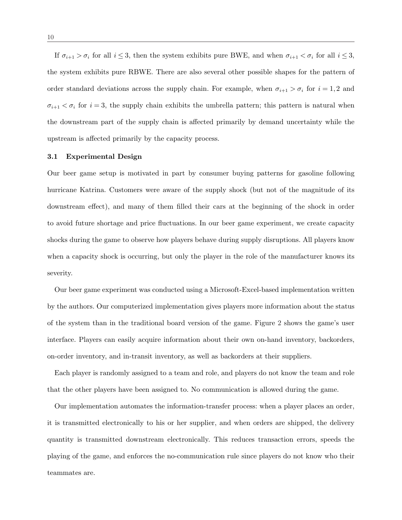If  $\sigma_{i+1} > \sigma_i$  for all  $i \leq 3$ , then the system exhibits pure BWE, and when  $\sigma_{i+1} < \sigma_i$  for all  $i \leq 3$ , the system exhibits pure RBWE. There are also several other possible shapes for the pattern of order standard deviations across the supply chain. For example, when  $\sigma_{i+1} > \sigma_i$  for  $i = 1, 2$  and  $\sigma_{i+1} < \sigma_i$  for  $i = 3$ , the supply chain exhibits the umbrella pattern; this pattern is natural when the downstream part of the supply chain is affected primarily by demand uncertainty while the upstream is affected primarily by the capacity process.

## 3.1 Experimental Design

Our beer game setup is motivated in part by consumer buying patterns for gasoline following hurricane Katrina. Customers were aware of the supply shock (but not of the magnitude of its downstream effect), and many of them filled their cars at the beginning of the shock in order to avoid future shortage and price fluctuations. In our beer game experiment, we create capacity shocks during the game to observe how players behave during supply disruptions. All players know when a capacity shock is occurring, but only the player in the role of the manufacturer knows its severity.

Our beer game experiment was conducted using a Microsoft-Excel-based implementation written by the authors. Our computerized implementation gives players more information about the status of the system than in the traditional board version of the game. Figure 2 shows the game's user interface. Players can easily acquire information about their own on-hand inventory, backorders, on-order inventory, and in-transit inventory, as well as backorders at their suppliers.

Each player is randomly assigned to a team and role, and players do not know the team and role that the other players have been assigned to. No communication is allowed during the game.

Our implementation automates the information-transfer process: when a player places an order, it is transmitted electronically to his or her supplier, and when orders are shipped, the delivery quantity is transmitted downstream electronically. This reduces transaction errors, speeds the playing of the game, and enforces the no-communication rule since players do not know who their teammates are.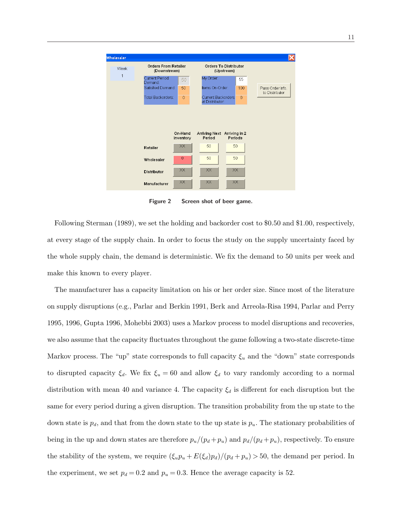

Figure 2 Screen shot of beer game.

Following Sterman (1989), we set the holding and backorder cost to \$0.50 and \$1.00, respectively, at every stage of the supply chain. In order to focus the study on the supply uncertainty faced by the whole supply chain, the demand is deterministic. We fix the demand to 50 units per week and make this known to every player.

The manufacturer has a capacity limitation on his or her order size. Since most of the literature on supply disruptions (e.g., Parlar and Berkin 1991, Berk and Arreola-Risa 1994, Parlar and Perry 1995, 1996, Gupta 1996, Mohebbi 2003) uses a Markov process to model disruptions and recoveries, we also assume that the capacity fluctuates throughout the game following a two-state discrete-time Markov process. The "up" state corresponds to full capacity  $\xi_u$  and the "down" state corresponds to disrupted capacity  $\xi_d$ . We fix  $\xi_u = 60$  and allow  $\xi_d$  to vary randomly according to a normal distribution with mean 40 and variance 4. The capacity  $\xi_d$  is different for each disruption but the same for every period during a given disruption. The transition probability from the up state to the down state is  $p_d$ , and that from the down state to the up state is  $p_u$ . The stationary probabilities of being in the up and down states are therefore  $p_u/(p_d + p_u)$  and  $p_d/(p_d + p_u)$ , respectively. To ensure the stability of the system, we require  $(\xi_u p_u + E(\xi_d)p_d)/(p_d + p_u) > 50$ , the demand per period. In the experiment, we set  $p_d = 0.2$  and  $p_u = 0.3$ . Hence the average capacity is 52.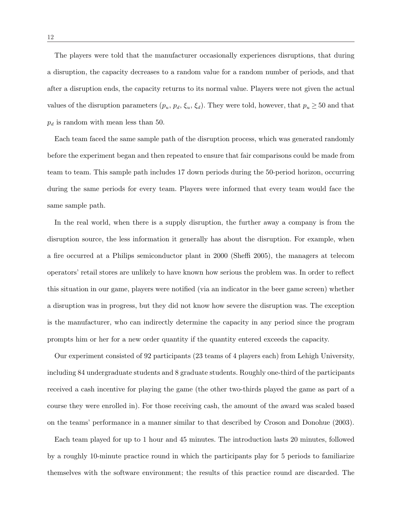The players were told that the manufacturer occasionally experiences disruptions, that during a disruption, the capacity decreases to a random value for a random number of periods, and that after a disruption ends, the capacity returns to its normal value. Players were not given the actual values of the disruption parameters  $(p_u, p_d, \xi_u, \xi_d)$ . They were told, however, that  $p_u \ge 50$  and that  $p_d$  is random with mean less than 50.

Each team faced the same sample path of the disruption process, which was generated randomly before the experiment began and then repeated to ensure that fair comparisons could be made from team to team. This sample path includes 17 down periods during the 50-period horizon, occurring during the same periods for every team. Players were informed that every team would face the same sample path.

In the real world, when there is a supply disruption, the further away a company is from the disruption source, the less information it generally has about the disruption. For example, when a fire occurred at a Philips semiconductor plant in 2000 (Sheffi 2005), the managers at telecom operators' retail stores are unlikely to have known how serious the problem was. In order to reflect this situation in our game, players were notified (via an indicator in the beer game screen) whether a disruption was in progress, but they did not know how severe the disruption was. The exception is the manufacturer, who can indirectly determine the capacity in any period since the program prompts him or her for a new order quantity if the quantity entered exceeds the capacity.

Our experiment consisted of 92 participants (23 teams of 4 players each) from Lehigh University, including 84 undergraduate students and 8 graduate students. Roughly one-third of the participants received a cash incentive for playing the game (the other two-thirds played the game as part of a course they were enrolled in). For those receiving cash, the amount of the award was scaled based on the teams' performance in a manner similar to that described by Croson and Donohue (2003).

Each team played for up to 1 hour and 45 minutes. The introduction lasts 20 minutes, followed by a roughly 10-minute practice round in which the participants play for 5 periods to familiarize themselves with the software environment; the results of this practice round are discarded. The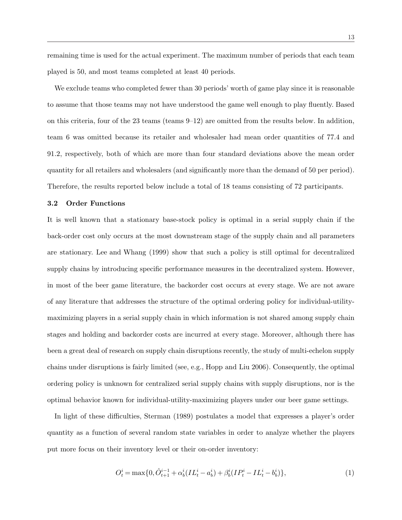remaining time is used for the actual experiment. The maximum number of periods that each team played is 50, and most teams completed at least 40 periods.

We exclude teams who completed fewer than 30 periods' worth of game play since it is reasonable to assume that those teams may not have understood the game well enough to play fluently. Based on this criteria, four of the 23 teams (teams  $9-12$ ) are omitted from the results below. In addition, team 6 was omitted because its retailer and wholesaler had mean order quantities of 77.4 and 91.2, respectively, both of which are more than four standard deviations above the mean order quantity for all retailers and wholesalers (and significantly more than the demand of 50 per period). Therefore, the results reported below include a total of 18 teams consisting of 72 participants.

#### 3.2 Order Functions

It is well known that a stationary base-stock policy is optimal in a serial supply chain if the back-order cost only occurs at the most downstream stage of the supply chain and all parameters are stationary. Lee and Whang (1999) show that such a policy is still optimal for decentralized supply chains by introducing specific performance measures in the decentralized system. However, in most of the beer game literature, the backorder cost occurs at every stage. We are not aware of any literature that addresses the structure of the optimal ordering policy for individual-utilitymaximizing players in a serial supply chain in which information is not shared among supply chain stages and holding and backorder costs are incurred at every stage. Moreover, although there has been a great deal of research on supply chain disruptions recently, the study of multi-echelon supply chains under disruptions is fairly limited (see, e.g., Hopp and Liu 2006). Consequently, the optimal ordering policy is unknown for centralized serial supply chains with supply disruptions, nor is the optimal behavior known for individual-utility-maximizing players under our beer game settings.

In light of these difficulties, Sterman (1989) postulates a model that expresses a player's order quantity as a function of several random state variables in order to analyze whether the players put more focus on their inventory level or their on-order inventory:

$$
O_t^i = \max\{0, \hat{O}_{t+1}^{i-1} + \alpha_b^i (IL_t^i - a_b^i) + \beta_b^i (IP_t^i - IL_t^i - b_b^i)\},\tag{1}
$$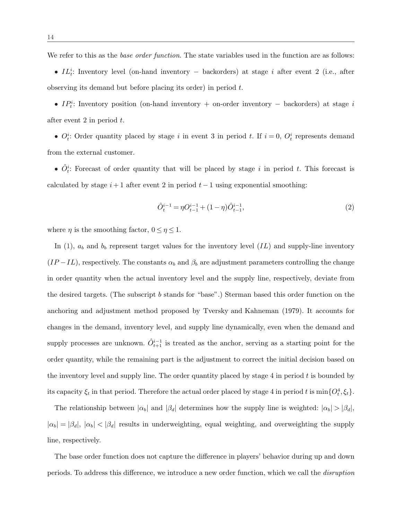We refer to this as the *base order function*. The state variables used in the function are as follows:

• IL<sup>i</sup>: Inventory level (on-hand inventory – backorders) at stage *i* after event 2 (i.e., after observing its demand but before placing its order) in period t.

•  $IP_t^i$ : Inventory position (on-hand inventory + on-order inventory – backorders) at stage i after event 2 in period  $t$ .

•  $O_t^i$ : Order quantity placed by stage i in event 3 in period t. If  $i = 0$ ,  $O_t^i$  represents demand from the external customer.

•  $\hat{O}_i^i$ : Forecast of order quantity that will be placed by stage i in period t. This forecast is calculated by stage  $i+1$  after event 2 in period  $t-1$  using exponential smoothing:

$$
\hat{O}_t^{i-1} = \eta O_{t-1}^{i-1} + (1 - \eta) \hat{O}_{t-1}^{i-1},\tag{2}
$$

where  $\eta$  is the smoothing factor,  $0 \leq \eta \leq 1$ .

In (1),  $a_b$  and  $b_b$  represent target values for the inventory level  $(IL)$  and supply-line inventory  $(IP - IL)$ , respectively. The constants  $\alpha_b$  and  $\beta_b$  are adjustment parameters controlling the change in order quantity when the actual inventory level and the supply line, respectively, deviate from the desired targets. (The subscript b stands for "base".) Sterman based this order function on the anchoring and adjustment method proposed by Tversky and Kahneman (1979). It accounts for changes in the demand, inventory level, and supply line dynamically, even when the demand and supply processes are unknown.  $\hat{O}_{t+1}^{i-1}$  is treated as the anchor, serving as a starting point for the order quantity, while the remaining part is the adjustment to correct the initial decision based on the inventory level and supply line. The order quantity placed by stage  $4$  in period  $t$  is bounded by its capacity  $\xi_t$  in that period. Therefore the actual order placed by stage 4 in period t is  $\min\{O_t^4, \xi_t\}$ .

The relationship between  $|\alpha_b|$  and  $|\beta_d|$  determines how the supply line is weighted:  $|\alpha_b| > |\beta_d|$ ,  $|\alpha_b| = |\beta_d|, |\alpha_b| < |\beta_d|$  results in underweighting, equal weighting, and overweighting the supply line, respectively.

The base order function does not capture the difference in players' behavior during up and down periods. To address this difference, we introduce a new order function, which we call the disruption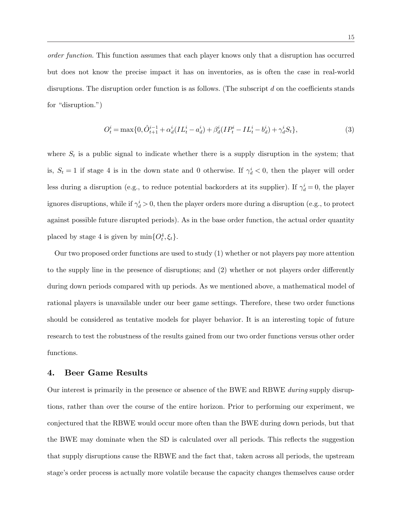order function. This function assumes that each player knows only that a disruption has occurred but does not know the precise impact it has on inventories, as is often the case in real-world disruptions. The disruption order function is as follows. (The subscript d on the coefficients stands for "disruption.")

$$
O_t^i = \max\{0, \hat{O}_{t+1}^{i-1} + \alpha_d^i (IL_t^i - a_d^i) + \beta_d^i (IP_t^i - IL_t^i - b_d^i) + \gamma_d^i S_t\},\tag{3}
$$

where  $S_t$  is a public signal to indicate whether there is a supply disruption in the system; that is,  $S_t = 1$  if stage 4 is in the down state and 0 otherwise. If  $\gamma_d^i < 0$ , then the player will order less during a disruption (e.g., to reduce potential backorders at its supplier). If  $\gamma_d^i = 0$ , the player ignores disruptions, while if  $\gamma_d^i > 0$ , then the player orders more during a disruption (e.g., to protect against possible future disrupted periods). As in the base order function, the actual order quantity placed by stage 4 is given by  $\min\{O_t^4, \xi_t\}.$ 

Our two proposed order functions are used to study (1) whether or not players pay more attention to the supply line in the presence of disruptions; and (2) whether or not players order differently during down periods compared with up periods. As we mentioned above, a mathematical model of rational players is unavailable under our beer game settings. Therefore, these two order functions should be considered as tentative models for player behavior. It is an interesting topic of future research to test the robustness of the results gained from our two order functions versus other order functions.

## 4. Beer Game Results

Our interest is primarily in the presence or absence of the BWE and RBWE during supply disruptions, rather than over the course of the entire horizon. Prior to performing our experiment, we conjectured that the RBWE would occur more often than the BWE during down periods, but that the BWE may dominate when the SD is calculated over all periods. This reflects the suggestion that supply disruptions cause the RBWE and the fact that, taken across all periods, the upstream stage's order process is actually more volatile because the capacity changes themselves cause order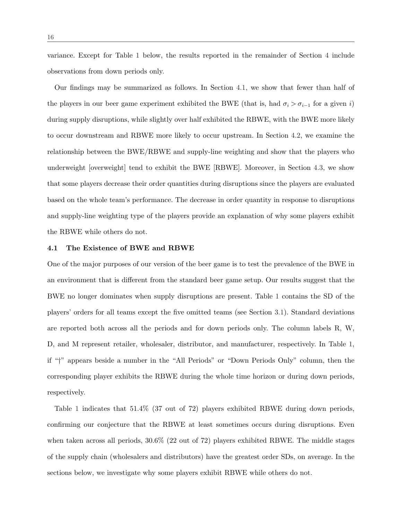variance. Except for Table 1 below, the results reported in the remainder of Section 4 include observations from down periods only.

Our findings may be summarized as follows. In Section 4.1, we show that fewer than half of the players in our beer game experiment exhibited the BWE (that is, had  $\sigma_i > \sigma_{i-1}$  for a given i) during supply disruptions, while slightly over half exhibited the RBWE, with the BWE more likely to occur downstream and RBWE more likely to occur upstream. In Section 4.2, we examine the relationship between the BWE/RBWE and supply-line weighting and show that the players who underweight [overweight] tend to exhibit the BWE [RBWE]. Moreover, in Section 4.3, we show that some players decrease their order quantities during disruptions since the players are evaluated based on the whole team's performance. The decrease in order quantity in response to disruptions and supply-line weighting type of the players provide an explanation of why some players exhibit the RBWE while others do not.

#### 4.1 The Existence of BWE and RBWE

One of the major purposes of our version of the beer game is to test the prevalence of the BWE in an environment that is different from the standard beer game setup. Our results suggest that the BWE no longer dominates when supply disruptions are present. Table 1 contains the SD of the players' orders for all teams except the five omitted teams (see Section 3.1). Standard deviations are reported both across all the periods and for down periods only. The column labels R, W, D, and M represent retailer, wholesaler, distributor, and manufacturer, respectively. In Table 1, if "†" appears beside a number in the "All Periods" or "Down Periods Only" column, then the corresponding player exhibits the RBWE during the whole time horizon or during down periods, respectively.

Table 1 indicates that 51.4% (37 out of 72) players exhibited RBWE during down periods, confirming our conjecture that the RBWE at least sometimes occurs during disruptions. Even when taken across all periods,  $30.6\%$  (22 out of 72) players exhibited RBWE. The middle stages of the supply chain (wholesalers and distributors) have the greatest order SDs, on average. In the sections below, we investigate why some players exhibit RBWE while others do not.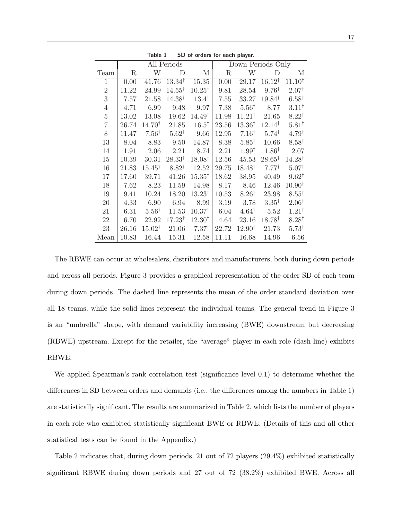| rapic 1<br><b>JD 01 01 GETS TOP CALLI PROVER</b> |             |                   |                   |                   |                   |                   |                   |                   |  |  |
|--------------------------------------------------|-------------|-------------------|-------------------|-------------------|-------------------|-------------------|-------------------|-------------------|--|--|
|                                                  |             |                   | All Periods       |                   | Down Periods Only |                   |                   |                   |  |  |
| Team                                             | $\mathbf R$ | W                 | $\mathbf D$       | M                 | $\mathbf R$       | W                 | $\mathbf D$       | М                 |  |  |
| $\mathbf{1}$                                     | 0.00        | 41.76             | $13.34^{\dagger}$ | 15.35             | 0.00              | 29.17             | $16.12^{\dagger}$ | $11.10^{†}$       |  |  |
| $\overline{2}$                                   | 11.22       | 24.99             | $14.55^{\dagger}$ | $10.25^{\dagger}$ | 9.81              | 28.54             | $9.76^{\dagger}$  | $2.07^{\dagger}$  |  |  |
| 3                                                | 7.57        | 21.58             | $14.38^{\dagger}$ | $13.4^{\dagger}$  | 7.55              | 33.27             | $19.84^{\dagger}$ | $6.58^{\dagger}$  |  |  |
| $\overline{4}$                                   | 4.71        | 6.99              | 9.48              | 9.97              | 7.38              | $5.56^{\dagger}$  | 8.77              | $3.11^{\dagger}$  |  |  |
| $\overline{5}$                                   | 13.02       | 13.08             | 19.62             | $14.49^{\dagger}$ | 11.98             | $11.21^{\dagger}$ | 21.65             | $8.22^{\dagger}$  |  |  |
| $\overline{7}$                                   | 26.74       | $14.70^{\dagger}$ | 21.85             | $16.5^{\dagger}$  | $23.56\,$         | $13.36^{\dagger}$ | $12.14^{\dagger}$ | $5.81^{\dagger}$  |  |  |
| 8                                                | 11.47       | $7.56^{\dagger}$  | $5.62^{\dagger}$  | 9.66              | 12.95             | $7.16^{\dagger}$  | $5.74^{\dagger}$  | $4.79^{\dagger}$  |  |  |
| 13                                               | 8.04        | 8.83              | 9.50              | 14.87             | 8.38              | $5.85^{\dagger}$  | 10.66             | $8.58^{\dagger}$  |  |  |
| 14                                               | 1.91        | 2.06              | 2.21              | 8.74              | 2.21              | $1.99^{\dagger}$  | $1.86^{\dagger}$  | 2.07              |  |  |
| 15                                               | 10.39       | 30.31             | $28.33^{\dagger}$ | $18.08^{\dagger}$ | 12.56             | 45.53             | $28.65^{\dagger}$ | $14.28^{\dagger}$ |  |  |
| 16                                               | 21.83       | $15.45^{\dagger}$ | $8.82^{\dagger}$  | 12.52             | 29.75             | $18.48^{\dagger}$ | $7.77^{\dagger}$  | $5.07^{\dagger}$  |  |  |
| 17                                               | 17.60       | 39.71             | 41.26             | $15.35^{\dagger}$ | 18.62             | 38.95             | 40.49             | $9.62^{\dagger}$  |  |  |
| 18                                               | 7.62        | 8.23              | 11.59             | 14.98             | 8.17              | 8.46              | 12.46             | $10.90^{\dagger}$ |  |  |
| 19                                               | 9.41        | 10.24             | 18.20             | $13.23^{\dagger}$ | 10.53             | $8.26^{\dagger}$  | 23.98             | $8.55^{\dagger}$  |  |  |
| 20                                               | 4.33        | 6.90              | 6.94              | 8.99              | 3.19              | 3.78              | $3.35^{\dagger}$  | $2.06^{\dagger}$  |  |  |
| 21                                               | 6.31        | $5.56^{\dagger}$  | 11.53             | $10.37^{\dagger}$ | 6.04              | $4.64^{\dagger}$  | 5.52              | $1.21^{\dagger}$  |  |  |
| 22                                               | 6.70        | 22.92             | $17.23^{\dagger}$ | $12.30^{\dagger}$ | 4.64              | 23.16             | $18.78^{\dagger}$ | $8.28^{\dagger}$  |  |  |
| 23                                               | 26.16       | $15.02^{\dagger}$ | 21.06             | $7.37^{\dagger}$  | 22.72             | $12.90^{\dagger}$ | 21.73             | $5.73^{\dagger}$  |  |  |
| Mean                                             | 10.83       | 16.44             | 15.31             | 12.58             | 11.11             | 16.68             | 14.96             | 6.56              |  |  |

Table 1 SD of orders for each player.

The RBWE can occur at wholesalers, distributors and manufacturers, both during down periods and across all periods. Figure 3 provides a graphical representation of the order SD of each team during down periods. The dashed line represents the mean of the order standard deviation over all 18 teams, while the solid lines represent the individual teams. The general trend in Figure 3 is an "umbrella" shape, with demand variability increasing (BWE) downstream but decreasing (RBWE) upstream. Except for the retailer, the "average" player in each role (dash line) exhibits RBWE.

We applied Spearman's rank correlation test (significance level 0.1) to determine whether the differences in SD between orders and demands (i.e., the differences among the numbers in Table 1) are statistically significant. The results are summarized in Table 2, which lists the number of players in each role who exhibited statistically significant BWE or RBWE. (Details of this and all other statistical tests can be found in the Appendix.)

Table 2 indicates that, during down periods, 21 out of 72 players (29.4%) exhibited statistically significant RBWE during down periods and 27 out of 72 (38.2%) exhibited BWE. Across all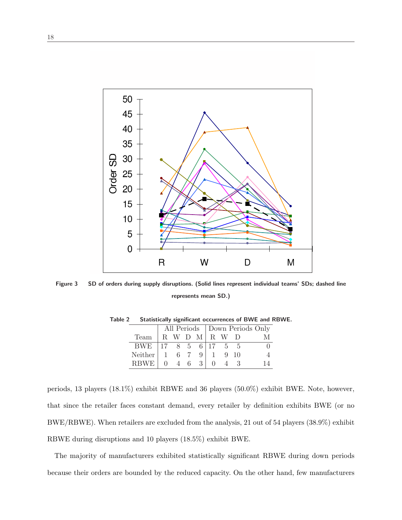

Figure 3 SD of orders during supply disruptions. (Solid lines represent individual teams' SDs; dashed line represents mean SD.)

|             |    |             |     |   | All Periods   Down Periods Only |   |             |  |
|-------------|----|-------------|-----|---|---------------------------------|---|-------------|--|
| Team        |    | R W D M R W |     |   |                                 |   |             |  |
| <b>BWE</b>  | 17 |             | 8 5 |   | $6 \mid 17$                     |   | $5 \quad 5$ |  |
| Neither     |    |             | 67  |   |                                 |   | $9 - 10$    |  |
| <b>RBWF</b> |    | $\sim$ 4    | 6   | 3 |                                 | 4 |             |  |

Table 2 Statistically significant occurrences of BWE and RBWE.

periods, 13 players (18.1%) exhibit RBWE and 36 players (50.0%) exhibit BWE. Note, however, that since the retailer faces constant demand, every retailer by definition exhibits BWE (or no BWE/RBWE). When retailers are excluded from the analysis, 21 out of 54 players (38.9%) exhibit RBWE during disruptions and 10 players (18.5%) exhibit BWE.

The majority of manufacturers exhibited statistically significant RBWE during down periods because their orders are bounded by the reduced capacity. On the other hand, few manufacturers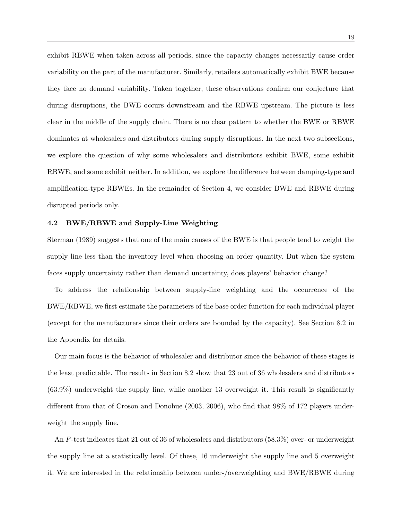exhibit RBWE when taken across all periods, since the capacity changes necessarily cause order variability on the part of the manufacturer. Similarly, retailers automatically exhibit BWE because they face no demand variability. Taken together, these observations confirm our conjecture that during disruptions, the BWE occurs downstream and the RBWE upstream. The picture is less clear in the middle of the supply chain. There is no clear pattern to whether the BWE or RBWE dominates at wholesalers and distributors during supply disruptions. In the next two subsections, we explore the question of why some wholesalers and distributors exhibit BWE, some exhibit RBWE, and some exhibit neither. In addition, we explore the difference between damping-type and amplification-type RBWEs. In the remainder of Section 4, we consider BWE and RBWE during disrupted periods only.

### 4.2 BWE/RBWE and Supply-Line Weighting

Sterman (1989) suggests that one of the main causes of the BWE is that people tend to weight the supply line less than the inventory level when choosing an order quantity. But when the system faces supply uncertainty rather than demand uncertainty, does players' behavior change?

To address the relationship between supply-line weighting and the occurrence of the BWE/RBWE, we first estimate the parameters of the base order function for each individual player (except for the manufacturers since their orders are bounded by the capacity). See Section 8.2 in the Appendix for details.

Our main focus is the behavior of wholesaler and distributor since the behavior of these stages is the least predictable. The results in Section 8.2 show that 23 out of 36 wholesalers and distributors (63.9%) underweight the supply line, while another 13 overweight it. This result is significantly different from that of Croson and Donohue (2003, 2006), who find that 98% of 172 players underweight the supply line.

An F-test indicates that 21 out of 36 of wholesalers and distributors (58.3%) over- or underweight the supply line at a statistically level. Of these, 16 underweight the supply line and 5 overweight it. We are interested in the relationship between under-/overweighting and BWE/RBWE during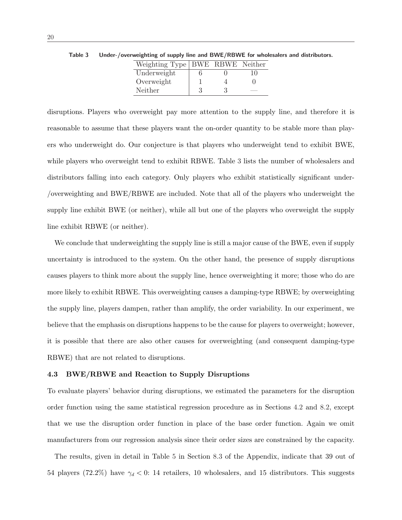| Weighting Type   BWE RBWE Neither |  |    |
|-----------------------------------|--|----|
| Underweight                       |  | 10 |
| Overweight                        |  |    |
| Neither                           |  |    |

Table 3 Under-/overweighting of supply line and BWE/RBWE for wholesalers and distributors.

disruptions. Players who overweight pay more attention to the supply line, and therefore it is reasonable to assume that these players want the on-order quantity to be stable more than players who underweight do. Our conjecture is that players who underweight tend to exhibit BWE, while players who overweight tend to exhibit RBWE. Table 3 lists the number of wholesalers and distributors falling into each category. Only players who exhibit statistically significant under- /overweighting and BWE/RBWE are included. Note that all of the players who underweight the supply line exhibit BWE (or neither), while all but one of the players who overweight the supply line exhibit RBWE (or neither).

We conclude that underweighting the supply line is still a major cause of the BWE, even if supply uncertainty is introduced to the system. On the other hand, the presence of supply disruptions causes players to think more about the supply line, hence overweighting it more; those who do are more likely to exhibit RBWE. This overweighting causes a damping-type RBWE; by overweighting the supply line, players dampen, rather than amplify, the order variability. In our experiment, we believe that the emphasis on disruptions happens to be the cause for players to overweight; however, it is possible that there are also other causes for overweighting (and consequent damping-type RBWE) that are not related to disruptions.

#### 4.3 BWE/RBWE and Reaction to Supply Disruptions

To evaluate players' behavior during disruptions, we estimated the parameters for the disruption order function using the same statistical regression procedure as in Sections 4.2 and 8.2, except that we use the disruption order function in place of the base order function. Again we omit manufacturers from our regression analysis since their order sizes are constrained by the capacity.

The results, given in detail in Table 5 in Section 8.3 of the Appendix, indicate that 39 out of 54 players (72.2%) have  $\gamma_d < 0$ : 14 retailers, 10 wholesalers, and 15 distributors. This suggests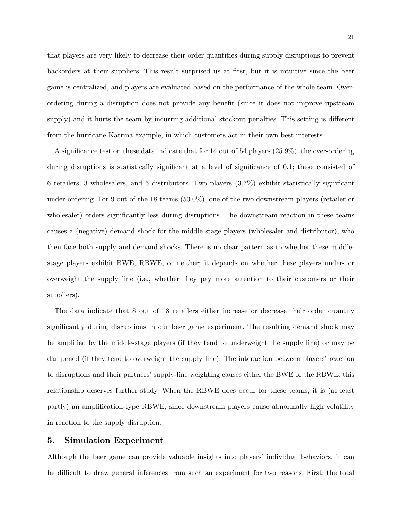that players are very likely to decrease their order quantities during supply disruptions to prevent backorders at their suppliers. This result surprised us at first, but it is intuitive since the beer game is centralized, and players are evaluated based on the performance of the whole team. Overordering during a disruption does not provide any benefit (since it does not improve upstream supply) and it hurts the team by incurring additional stockout penalties. This setting is different from the hurricane Katrina example, in which customers act in their own best interests.

A significance test on these data indicate that for 14 out of 54 players (25.9%), the over-ordering during disruptions is statistically significant at a level of significance of 0.1; these consisted of 6 retailers, 3 wholesalers, and 5 distributors. Two players (3.7%) exhibit statistically significant under-ordering. For 9 out of the 18 teams (50.0%), one of the two downstream players (retailer or wholesaler) orders significantly less during disruptions. The downstream reaction in these teams causes a (negative) demand shock for the middle-stage players (wholesaler and distributor), who then face both supply and demand shocks. There is no clear pattern as to whether these middlestage players exhibit BWE, RBWE, or neither; it depends on whether these players under- or overweight the supply line (i.e., whether they pay more attention to their customers or their suppliers).

The data indicate that 8 out of 18 retailers either increase or decrease their order quantity significantly during disruptions in our beer game experiment. The resulting demand shock may be amplified by the middle-stage players (if they tend to underweight the supply line) or may be dampened (if they tend to overweight the supply line). The interaction between players' reaction to disruptions and their partners' supply-line weighting causes either the BWE or the RBWE; this relationship deserves further study. When the RBWE does occur for these teams, it is (at least partly) an amplification-type RBWE, since downstream players cause abnormally high volatility in reaction to the supply disruption.

## 5. Simulation Experiment

Although the beer game can provide valuable insights into players' individual behaviors, it can be difficult to draw general inferences from such an experiment for two reasons. First, the total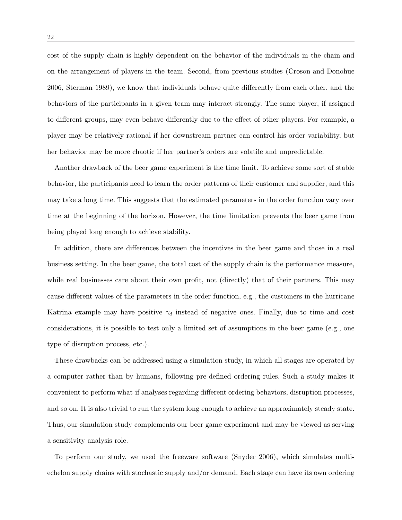cost of the supply chain is highly dependent on the behavior of the individuals in the chain and on the arrangement of players in the team. Second, from previous studies (Croson and Donohue 2006, Sterman 1989), we know that individuals behave quite differently from each other, and the behaviors of the participants in a given team may interact strongly. The same player, if assigned to different groups, may even behave differently due to the effect of other players. For example, a player may be relatively rational if her downstream partner can control his order variability, but her behavior may be more chaotic if her partner's orders are volatile and unpredictable.

Another drawback of the beer game experiment is the time limit. To achieve some sort of stable behavior, the participants need to learn the order patterns of their customer and supplier, and this may take a long time. This suggests that the estimated parameters in the order function vary over time at the beginning of the horizon. However, the time limitation prevents the beer game from being played long enough to achieve stability.

In addition, there are differences between the incentives in the beer game and those in a real business setting. In the beer game, the total cost of the supply chain is the performance measure, while real businesses care about their own profit, not (directly) that of their partners. This may cause different values of the parameters in the order function, e.g., the customers in the hurricane Katrina example may have positive  $\gamma_d$  instead of negative ones. Finally, due to time and cost considerations, it is possible to test only a limited set of assumptions in the beer game (e.g., one type of disruption process, etc.).

These drawbacks can be addressed using a simulation study, in which all stages are operated by a computer rather than by humans, following pre-defined ordering rules. Such a study makes it convenient to perform what-if analyses regarding different ordering behaviors, disruption processes, and so on. It is also trivial to run the system long enough to achieve an approximately steady state. Thus, our simulation study complements our beer game experiment and may be viewed as serving a sensitivity analysis role.

To perform our study, we used the freeware software (Snyder 2006), which simulates multiechelon supply chains with stochastic supply and/or demand. Each stage can have its own ordering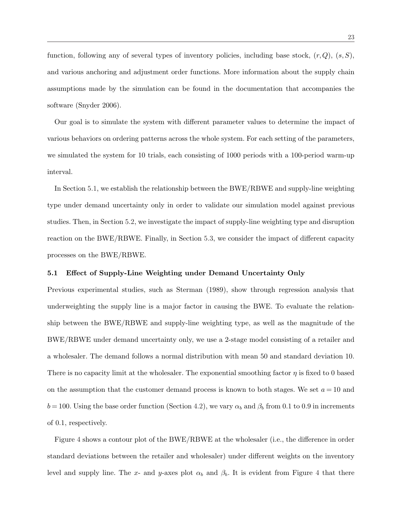function, following any of several types of inventory policies, including base stock,  $(r, Q)$ ,  $(s, S)$ , and various anchoring and adjustment order functions. More information about the supply chain assumptions made by the simulation can be found in the documentation that accompanies the software (Snyder 2006).

Our goal is to simulate the system with different parameter values to determine the impact of various behaviors on ordering patterns across the whole system. For each setting of the parameters, we simulated the system for 10 trials, each consisting of 1000 periods with a 100-period warm-up interval.

In Section 5.1, we establish the relationship between the BWE/RBWE and supply-line weighting type under demand uncertainty only in order to validate our simulation model against previous studies. Then, in Section 5.2, we investigate the impact of supply-line weighting type and disruption reaction on the BWE/RBWE. Finally, in Section 5.3, we consider the impact of different capacity processes on the BWE/RBWE.

#### 5.1 Effect of Supply-Line Weighting under Demand Uncertainty Only

Previous experimental studies, such as Sterman (1989), show through regression analysis that underweighting the supply line is a major factor in causing the BWE. To evaluate the relationship between the BWE/RBWE and supply-line weighting type, as well as the magnitude of the BWE/RBWE under demand uncertainty only, we use a 2-stage model consisting of a retailer and a wholesaler. The demand follows a normal distribution with mean 50 and standard deviation 10. There is no capacity limit at the wholesaler. The exponential smoothing factor  $\eta$  is fixed to 0 based on the assumption that the customer demand process is known to both stages. We set  $a = 10$  and  $b = 100$ . Using the base order function (Section 4.2), we vary  $\alpha_b$  and  $\beta_b$  from 0.1 to 0.9 in increments of 0.1, respectively.

Figure 4 shows a contour plot of the BWE/RBWE at the wholesaler (i.e., the difference in order standard deviations between the retailer and wholesaler) under different weights on the inventory level and supply line. The x- and y-axes plot  $\alpha_b$  and  $\beta_b$ . It is evident from Figure 4 that there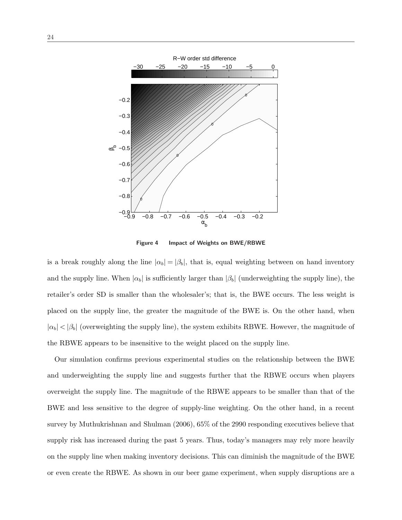

Figure 4 Impact of Weights on BWE/RBWE

is a break roughly along the line  $|\alpha_b| = |\beta_b|$ , that is, equal weighting between on hand inventory and the supply line. When  $|\alpha_b|$  is sufficiently larger than  $|\beta_b|$  (underweighting the supply line), the retailer's order SD is smaller than the wholesaler's; that is, the BWE occurs. The less weight is placed on the supply line, the greater the magnitude of the BWE is. On the other hand, when  $|\alpha_b| < |\beta_b|$  (overweighting the supply line), the system exhibits RBWE. However, the magnitude of the RBWE appears to be insensitive to the weight placed on the supply line.

Our simulation confirms previous experimental studies on the relationship between the BWE and underweighting the supply line and suggests further that the RBWE occurs when players overweight the supply line. The magnitude of the RBWE appears to be smaller than that of the BWE and less sensitive to the degree of supply-line weighting. On the other hand, in a recent survey by Muthukrishnan and Shulman (2006), 65% of the 2990 responding executives believe that supply risk has increased during the past 5 years. Thus, today's managers may rely more heavily on the supply line when making inventory decisions. This can diminish the magnitude of the BWE or even create the RBWE. As shown in our beer game experiment, when supply disruptions are a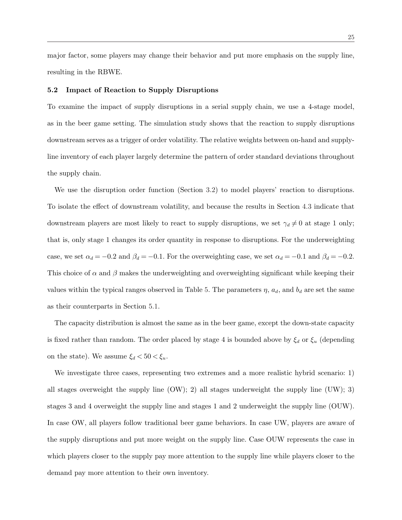major factor, some players may change their behavior and put more emphasis on the supply line, resulting in the RBWE.

#### 5.2 Impact of Reaction to Supply Disruptions

To examine the impact of supply disruptions in a serial supply chain, we use a 4-stage model, as in the beer game setting. The simulation study shows that the reaction to supply disruptions downstream serves as a trigger of order volatility. The relative weights between on-hand and supplyline inventory of each player largely determine the pattern of order standard deviations throughout the supply chain.

We use the disruption order function (Section 3.2) to model players' reaction to disruptions. To isolate the effect of downstream volatility, and because the results in Section 4.3 indicate that downstream players are most likely to react to supply disruptions, we set  $\gamma_d \neq 0$  at stage 1 only; that is, only stage 1 changes its order quantity in response to disruptions. For the underweighting case, we set  $\alpha_d = -0.2$  and  $\beta_d = -0.1$ . For the overweighting case, we set  $\alpha_d = -0.1$  and  $\beta_d = -0.2$ . This choice of  $\alpha$  and  $\beta$  makes the underweighting and overweighting significant while keeping their values within the typical ranges observed in Table 5. The parameters  $\eta$ ,  $a_d$ , and  $b_d$  are set the same as their counterparts in Section 5.1.

The capacity distribution is almost the same as in the beer game, except the down-state capacity is fixed rather than random. The order placed by stage 4 is bounded above by  $\xi_d$  or  $\xi_u$  (depending on the state). We assume  $\xi_d < 50 < \xi_u$ .

We investigate three cases, representing two extremes and a more realistic hybrid scenario: 1) all stages overweight the supply line  $(OW)$ ; 2) all stages underweight the supply line  $(UW)$ ; 3) stages 3 and 4 overweight the supply line and stages 1 and 2 underweight the supply line (OUW). In case OW, all players follow traditional beer game behaviors. In case UW, players are aware of the supply disruptions and put more weight on the supply line. Case OUW represents the case in which players closer to the supply pay more attention to the supply line while players closer to the demand pay more attention to their own inventory.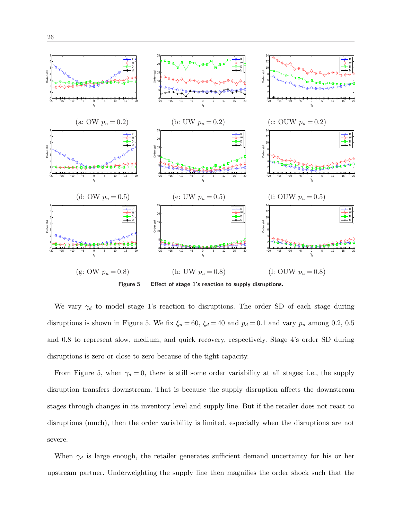

Figure 5 Effect of stage 1's reaction to supply disruptions.

We vary  $\gamma_d$  to model stage 1's reaction to disruptions. The order SD of each stage during disruptions is shown in Figure 5. We fix  $\xi_u = 60$ ,  $\xi_d = 40$  and  $p_d = 0.1$  and vary  $p_u$  among 0.2, 0.5 and 0.8 to represent slow, medium, and quick recovery, respectively. Stage 4's order SD during disruptions is zero or close to zero because of the tight capacity.

From Figure 5, when  $\gamma_d = 0$ , there is still some order variability at all stages; i.e., the supply disruption transfers downstream. That is because the supply disruption affects the downstream stages through changes in its inventory level and supply line. But if the retailer does not react to disruptions (much), then the order variability is limited, especially when the disruptions are not severe.

When  $\gamma_d$  is large enough, the retailer generates sufficient demand uncertainty for his or her upstream partner. Underweighting the supply line then magnifies the order shock such that the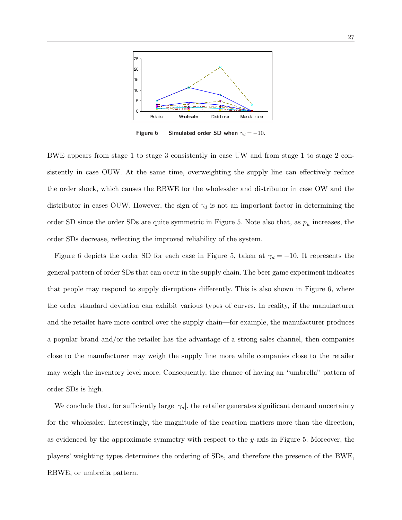

Figure 6 Simulated order SD when  $\gamma_d = -10$ .

BWE appears from stage 1 to stage 3 consistently in case UW and from stage 1 to stage 2 consistently in case OUW. At the same time, overweighting the supply line can effectively reduce the order shock, which causes the RBWE for the wholesaler and distributor in case OW and the distributor in cases OUW. However, the sign of  $\gamma_d$  is not an important factor in determining the order SD since the order SDs are quite symmetric in Figure 5. Note also that, as  $p_u$  increases, the order SDs decrease, reflecting the improved reliability of the system.

Figure 6 depicts the order SD for each case in Figure 5, taken at  $\gamma_d = -10$ . It represents the general pattern of order SDs that can occur in the supply chain. The beer game experiment indicates that people may respond to supply disruptions differently. This is also shown in Figure 6, where the order standard deviation can exhibit various types of curves. In reality, if the manufacturer and the retailer have more control over the supply chain—for example, the manufacturer produces a popular brand and/or the retailer has the advantage of a strong sales channel, then companies close to the manufacturer may weigh the supply line more while companies close to the retailer may weigh the inventory level more. Consequently, the chance of having an "umbrella" pattern of order SDs is high.

We conclude that, for sufficiently large  $|\gamma_d|$ , the retailer generates significant demand uncertainty for the wholesaler. Interestingly, the magnitude of the reaction matters more than the direction, as evidenced by the approximate symmetry with respect to the y-axis in Figure 5. Moreover, the players' weighting types determines the ordering of SDs, and therefore the presence of the BWE, RBWE, or umbrella pattern.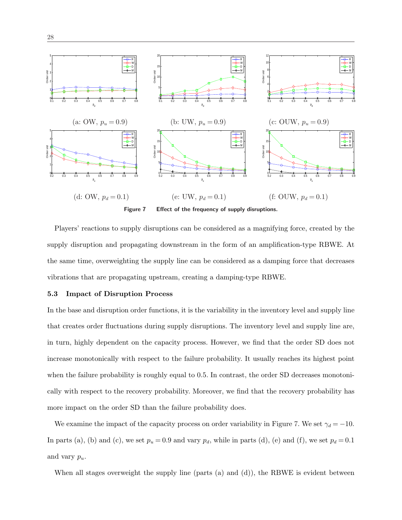

Players' reactions to supply disruptions can be considered as a magnifying force, created by the supply disruption and propagating downstream in the form of an amplification-type RBWE. At the same time, overweighting the supply line can be considered as a damping force that decreases vibrations that are propagating upstream, creating a damping-type RBWE.

#### 5.3 Impact of Disruption Process

In the base and disruption order functions, it is the variability in the inventory level and supply line that creates order fluctuations during supply disruptions. The inventory level and supply line are, in turn, highly dependent on the capacity process. However, we find that the order SD does not increase monotonically with respect to the failure probability. It usually reaches its highest point when the failure probability is roughly equal to 0.5. In contrast, the order SD decreases monotonically with respect to the recovery probability. Moreover, we find that the recovery probability has more impact on the order SD than the failure probability does.

We examine the impact of the capacity process on order variability in Figure 7. We set  $\gamma_d = -10$ . In parts (a), (b) and (c), we set  $p_u = 0.9$  and vary  $p_d$ , while in parts (d), (e) and (f), we set  $p_d = 0.1$ and vary  $p_u$ .

When all stages overweight the supply line (parts  $(a)$  and  $(d)$ ), the RBWE is evident between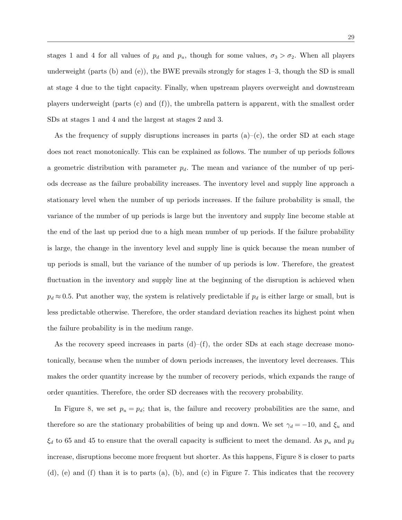stages 1 and 4 for all values of  $p_d$  and  $p_u$ , though for some values,  $\sigma_3 > \sigma_2$ . When all players underweight (parts (b) and (e)), the BWE prevails strongly for stages 1–3, though the SD is small at stage 4 due to the tight capacity. Finally, when upstream players overweight and downstream players underweight (parts (c) and (f)), the umbrella pattern is apparent, with the smallest order SDs at stages 1 and 4 and the largest at stages 2 and 3.

As the frequency of supply disruptions increases in parts  $(a)-(c)$ , the order SD at each stage does not react monotonically. This can be explained as follows. The number of up periods follows a geometric distribution with parameter  $p_d$ . The mean and variance of the number of up periods decrease as the failure probability increases. The inventory level and supply line approach a stationary level when the number of up periods increases. If the failure probability is small, the variance of the number of up periods is large but the inventory and supply line become stable at the end of the last up period due to a high mean number of up periods. If the failure probability is large, the change in the inventory level and supply line is quick because the mean number of up periods is small, but the variance of the number of up periods is low. Therefore, the greatest fluctuation in the inventory and supply line at the beginning of the disruption is achieved when  $p_d \approx 0.5$ . Put another way, the system is relatively predictable if  $p_d$  is either large or small, but is less predictable otherwise. Therefore, the order standard deviation reaches its highest point when the failure probability is in the medium range.

As the recovery speed increases in parts  $(d)$ – $(f)$ , the order SDs at each stage decrease monotonically, because when the number of down periods increases, the inventory level decreases. This makes the order quantity increase by the number of recovery periods, which expands the range of order quantities. Therefore, the order SD decreases with the recovery probability.

In Figure 8, we set  $p_u = p_d$ ; that is, the failure and recovery probabilities are the same, and therefore so are the stationary probabilities of being up and down. We set  $\gamma_d = -10$ , and  $\xi_u$  and  $\xi_d$  to 65 and 45 to ensure that the overall capacity is sufficient to meet the demand. As  $p_u$  and  $p_d$ increase, disruptions become more frequent but shorter. As this happens, Figure 8 is closer to parts  $(d)$ ,  $(e)$  and  $(f)$  than it is to parts  $(a)$ ,  $(b)$ , and  $(c)$  in Figure 7. This indicates that the recovery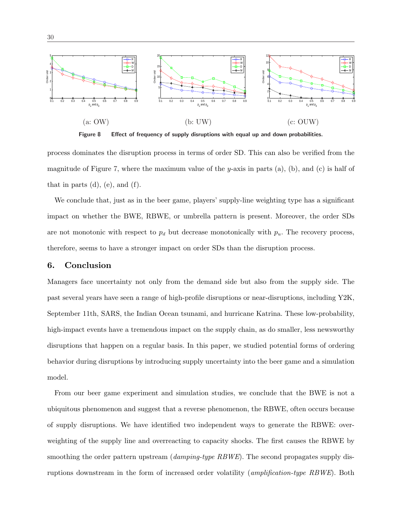

Figure 8 Effect of frequency of supply disruptions with equal up and down probabilities.

process dominates the disruption process in terms of order SD. This can also be verified from the magnitude of Figure 7, where the maximum value of the y-axis in parts  $(a)$ ,  $(b)$ , and  $(c)$  is half of that in parts  $(d)$ ,  $(e)$ , and  $(f)$ .

We conclude that, just as in the beer game, players' supply-line weighting type has a significant impact on whether the BWE, RBWE, or umbrella pattern is present. Moreover, the order SDs are not monotonic with respect to  $p_d$  but decrease monotonically with  $p_u$ . The recovery process, therefore, seems to have a stronger impact on order SDs than the disruption process.

## 6. Conclusion

Managers face uncertainty not only from the demand side but also from the supply side. The past several years have seen a range of high-profile disruptions or near-disruptions, including Y2K, September 11th, SARS, the Indian Ocean tsunami, and hurricane Katrina. These low-probability, high-impact events have a tremendous impact on the supply chain, as do smaller, less newsworthy disruptions that happen on a regular basis. In this paper, we studied potential forms of ordering behavior during disruptions by introducing supply uncertainty into the beer game and a simulation model.

From our beer game experiment and simulation studies, we conclude that the BWE is not a ubiquitous phenomenon and suggest that a reverse phenomenon, the RBWE, often occurs because of supply disruptions. We have identified two independent ways to generate the RBWE: overweighting of the supply line and overreacting to capacity shocks. The first causes the RBWE by smoothing the order pattern upstream (*damping-type RBWE*). The second propagates supply disruptions downstream in the form of increased order volatility (amplification-type RBWE). Both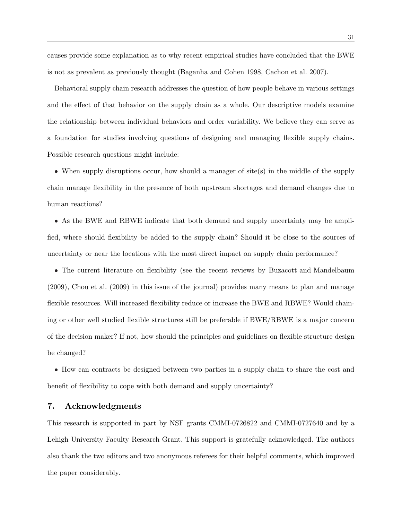causes provide some explanation as to why recent empirical studies have concluded that the BWE is not as prevalent as previously thought (Baganha and Cohen 1998, Cachon et al. 2007).

Behavioral supply chain research addresses the question of how people behave in various settings and the effect of that behavior on the supply chain as a whole. Our descriptive models examine the relationship between individual behaviors and order variability. We believe they can serve as a foundation for studies involving questions of designing and managing flexible supply chains. Possible research questions might include:

• When supply disruptions occur, how should a manager of site(s) in the middle of the supply chain manage flexibility in the presence of both upstream shortages and demand changes due to human reactions?

• As the BWE and RBWE indicate that both demand and supply uncertainty may be amplified, where should flexibility be added to the supply chain? Should it be close to the sources of uncertainty or near the locations with the most direct impact on supply chain performance?

• The current literature on flexibility (see the recent reviews by Buzacott and Mandelbaum (2009), Chou et al. (2009) in this issue of the journal) provides many means to plan and manage flexible resources. Will increased flexibility reduce or increase the BWE and RBWE? Would chaining or other well studied flexible structures still be preferable if BWE/RBWE is a major concern of the decision maker? If not, how should the principles and guidelines on flexible structure design be changed?

• How can contracts be designed between two parties in a supply chain to share the cost and benefit of flexibility to cope with both demand and supply uncertainty?

## 7. Acknowledgments

This research is supported in part by NSF grants CMMI-0726822 and CMMI-0727640 and by a Lehigh University Faculty Research Grant. This support is gratefully acknowledged. The authors also thank the two editors and two anonymous referees for their helpful comments, which improved the paper considerably.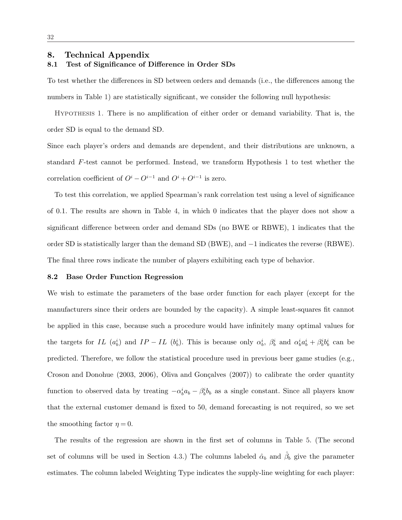#### 8. Technical Appendix

## 8.1 Test of Significance of Difference in Order SDs

To test whether the differences in SD between orders and demands (i.e., the differences among the numbers in Table 1) are statistically significant, we consider the following null hypothesis:

Hypothesis 1. There is no amplification of either order or demand variability. That is, the order SD is equal to the demand SD.

Since each player's orders and demands are dependent, and their distributions are unknown, a standard F-test cannot be performed. Instead, we transform Hypothesis 1 to test whether the correlation coefficient of  $O^i - O^{i-1}$  and  $O^i + O^{i-1}$  is zero.

To test this correlation, we applied Spearman's rank correlation test using a level of significance of 0.1. The results are shown in Table 4, in which 0 indicates that the player does not show a significant difference between order and demand SDs (no BWE or RBWE), 1 indicates that the order SD is statistically larger than the demand SD (BWE), and −1 indicates the reverse (RBWE). The final three rows indicate the number of players exhibiting each type of behavior.

#### 8.2 Base Order Function Regression

We wish to estimate the parameters of the base order function for each player (except for the manufacturers since their orders are bounded by the capacity). A simple least-squares fit cannot be applied in this case, because such a procedure would have infinitely many optimal values for the targets for IL  $(a_b^i)$  and IP – IL  $(b_b^i)$ . This is because only  $\alpha_b^i$ ,  $\beta_b^i$  and  $\alpha_b^i a_b^i + \beta_b^i b_b^i$  can be predicted. Therefore, we follow the statistical procedure used in previous beer game studies (e.g., Croson and Donohue  $(2003, 2006)$ , Oliva and Gonçalves  $(2007)$ ) to calibrate the order quantity function to observed data by treating  $-\alpha_b^i a_b - \beta_b^i b_b$  as a single constant. Since all players know that the external customer demand is fixed to 50, demand forecasting is not required, so we set the smoothing factor  $\eta = 0$ .

The results of the regression are shown in the first set of columns in Table 5. (The second set of columns will be used in Section 4.3.) The columns labeled  $\hat{\alpha}_b$  and  $\hat{\beta}_b$  give the parameter estimates. The column labeled Weighting Type indicates the supply-line weighting for each player: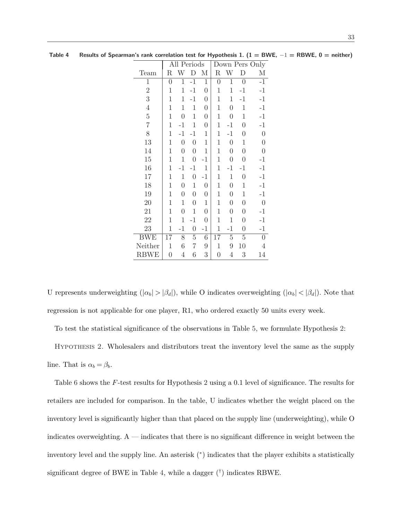|                | All Periods    |                  |                  | Down Pers Only   |                |                  |                  |                  |
|----------------|----------------|------------------|------------------|------------------|----------------|------------------|------------------|------------------|
| Team           | R              | W                |                  | М                | R              | W                | D                | М                |
| $\mathbf 1$    | $\overline{0}$ | $\mathbf 1$      | $-1$             | $\mathbf{1}$     | $\overline{0}$ | $\mathbf{1}$     | $\boldsymbol{0}$ | $-1$             |
| $\overline{2}$ | $\mathbf 1$    | 1                | $-1$             | $\boldsymbol{0}$ | 1              | 1                | $-1$             | $-1$             |
| 3              | $\mathbf 1$    | 1                | $-1$             | $\boldsymbol{0}$ | 1              | 1                | $-1$             | $-1$             |
| $\overline{4}$ | $\mathbf 1$    | 1                | $\mathbf 1$      | $\boldsymbol{0}$ | 1              | $\overline{0}$   | $\mathbf 1$      | $-1$             |
| $\overline{5}$ | $\mathbf 1$    | $\overline{0}$   | $\mathbf{1}$     | $\boldsymbol{0}$ | $\mathbf 1$    | $\boldsymbol{0}$ | $\mathbf 1$      | $-1$             |
| $\overline{7}$ | $\mathbf 1$    | $-1$             | $\mathbf{1}$     | $\boldsymbol{0}$ | 1              | $-1$             | $\boldsymbol{0}$ | $-1$             |
| 8              | $\mathbf 1$    | $-1$             | $-1$             | $\mathbf 1$      | 1              | $-1$             | $\overline{0}$   | $\overline{0}$   |
| 13             | $\mathbf 1$    | $\overline{0}$   | $\overline{0}$   | 1                | 1              | $\boldsymbol{0}$ | 1                | $\overline{0}$   |
| 14             | $\mathbf{1}$   | $\boldsymbol{0}$ | $\boldsymbol{0}$ | 1                | 1              | $\boldsymbol{0}$ | $\overline{0}$   | $\boldsymbol{0}$ |
| 15             | $\mathbf{1}$   | $\mathbf 1$      | $\overline{0}$   | $-1$             | 1              | $\boldsymbol{0}$ | $\overline{0}$   | $-1$             |
| 16             | 1              | $-1$             | $-1$             | $\mathbf 1$      | 1              | $-1$             | $-1$             | $-1$             |
| 17             | $\mathbf 1$    | 1                | $\overline{0}$   | $-1$             | 1              | $\mathbf 1$      | $\overline{0}$   | $-1$             |
| 18             | $\mathbf{1}$   | $\overline{0}$   | $\mathbf 1$      | $\boldsymbol{0}$ | $\mathbf 1$    | $\boldsymbol{0}$ | $\mathbf 1$      | $-1$             |
| 19             | 1              | $\overline{0}$   | $\overline{0}$   | $\overline{0}$   | 1              | $\boldsymbol{0}$ | 1                | $-1$             |
| 20             | $\mathbf 1$    | 1                | $\boldsymbol{0}$ | $\mathbf 1$      | 1              | $\boldsymbol{0}$ | $\boldsymbol{0}$ | $\overline{0}$   |
| 21             | $\mathbf 1$    | $\overline{0}$   | $\mathbf{1}$     | $\boldsymbol{0}$ | $\mathbf 1$    | 0                | 0                | $-1$             |
| 22             | $\mathbf{1}$   | 1                | $-1$             | $\boldsymbol{0}$ | 1              | $\mathbf{1}$     | 0                | $-1$             |
| 23             | 1              | $-1$             | $\boldsymbol{0}$ | $-1$             | 1              | $-1$             | $\boldsymbol{0}$ | $-1$             |
| <b>BWE</b>     | 17             | 8                | 5                | $\!6\,$          | 17             | $\overline{5}$   | $\overline{5}$   | $\overline{0}$   |
| Neither        | $\mathbf 1$    | 6                | 7                | 9                | 1              | 9                | 10               | 4                |
| <b>RBWE</b>    | $\overline{0}$ | $\overline{4}$   | $\sqrt{6}$       | 3                | $\overline{0}$ | $\overline{4}$   | 3                | 14               |

Table 4 Results of Spearman's rank correlation test for Hypothesis 1. (1 = BWE,  $-1$  = RBWE, 0 = neither)

U represents underweighting  $(|\alpha_b| > |\beta_d|)$ , while O indicates overweighting  $(|\alpha_b| < |\beta_d|)$ . Note that regression is not applicable for one player, R1, who ordered exactly 50 units every week.

To test the statistical significance of the observations in Table 5, we formulate Hypothesis 2:

Hypothesis 2. Wholesalers and distributors treat the inventory level the same as the supply line. That is  $\alpha_b = \beta_b$ .

Table 6 shows the F-test results for Hypothesis 2 using a 0.1 level of significance. The results for retailers are included for comparison. In the table, U indicates whether the weight placed on the inventory level is significantly higher than that placed on the supply line (underweighting), while O indicates overweighting. A — indicates that there is no significant difference in weight between the inventory level and the supply line. An asterisk (<sup>∗</sup> ) indicates that the player exhibits a statistically significant degree of BWE in Table 4, while a dagger  $(\dagger)$  indicates RBWE.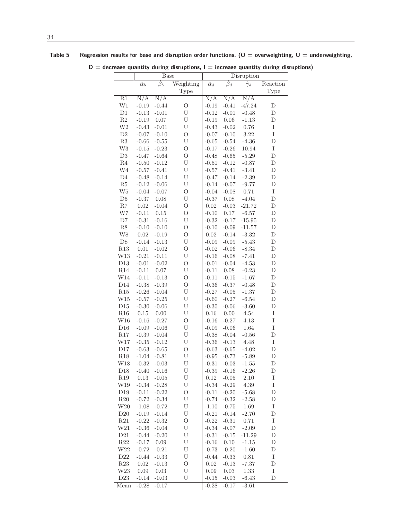|                            |                  | Base               |                           |                  |                    | Disruption       | $D =$ decrease quantity during disruptions, $I =$ increase quantity during disruptions) |  |
|----------------------------|------------------|--------------------|---------------------------|------------------|--------------------|------------------|-----------------------------------------------------------------------------------------|--|
|                            | $\hat{\alpha}_b$ | $\hat{\beta}_b$    | Weighting                 | $\hat{\alpha}_d$ | $\hat{\beta}_d$    | $\hat{\gamma}_d$ | Reaction                                                                                |  |
|                            |                  |                    | <b>Type</b>               |                  |                    |                  | <b>Type</b>                                                                             |  |
| R1                         | N/A              | N/A                |                           | N/A              | N/A                | N/A              |                                                                                         |  |
| W1                         | $-0.19$          | $-0.44$            | $\circ$                   | $-0.19$          | $-0.41$            | $-47.24$         | $\mathbf D$                                                                             |  |
| $\mathop{\rm D}\nolimits1$ | $-0.13$          | $-0.01$            | $\mathbf U$               | $-0.12$          | $-0.01$            | $-0.48$          | $\mathbf D$                                                                             |  |
| R2                         | $-0.19$          | 0.07               | U                         | $-0.19$          | 0.06               | $-1.13$          | $\mathbf D$                                                                             |  |
| W <sub>2</sub>             | $-0.43$          | $-0.01$            | U                         | $-0.43$          | $-0.02$            | 0.76             | $\rm I$                                                                                 |  |
| D2                         | $-0.07$          | $-0.10$            | $\circ$                   | $-0.07$          | $-0.10$            | 3.22             | $\rm I$                                                                                 |  |
| R3                         | $-0.66$          | $-0.55$            | $\mathbf U$               | $-0.65$          | $-0.54$            | $-4.36$          | $\mathbf D$                                                                             |  |
| W <sub>3</sub>             | $-0.15$          | $-0.23$            | $\circ$                   | $-0.17$          | $-0.26$            | 10.94            | $\rm I$                                                                                 |  |
| D3                         | $-0.47$          | $-0.64$            | $\mathcal{O}$             | $-0.48$          | $-0.65$            | $-5.29$          | $\mathbf D$                                                                             |  |
| $\rm R4$                   | $-0.50$          | $-0.12$            | U                         | $-0.51$          | $-0.12$            | $-0.87$          | $\mathbf D$                                                                             |  |
| W4                         | $-0.57$          | $-0.41$            | $\mathbf U$               | $-0.57$          | $-0.41$            | $-3.41$          | $\mathbf D$                                                                             |  |
| D <sub>4</sub>             | $-0.48$          | $-0.14$            | U                         | $-0.47$          | $-0.14$            | $-2.39$          | ${\rm D}$                                                                               |  |
| R5                         | $-0.12$          | $-0.06$            | $\ensuremath{\mathrm{U}}$ | $-0.14$          | $-0.07$            | $-9.77$          | $\mathbf D$                                                                             |  |
| W <sub>5</sub>             | $-0.04$          | $-0.07$            | $\rm{O}$                  | $-0.04$          | $-0.08$            | 0.71             | $\rm I$                                                                                 |  |
| D5                         | $-0.37$          | 0.08               | U                         | $-0.37$          | 0.08               | $-4.04$          | $\mathbf D$                                                                             |  |
| $\mathbf{R}7$              | 0.02             | $-0.04$            | $\rm{O}$                  | 0.02             | $-0.03$            | $-21.72$         | $\mathbf D$                                                                             |  |
| W7                         | $-0.11$          | 0.15               | $\circ$                   | $-0.10$          | 0.17               | $-6.57$          | ${\rm D}$                                                                               |  |
| D7                         | $-0.31$          | $-0.16$            | U                         | $-0.32$          | $-0.17$            | $-15.95$         | ${\rm D}$                                                                               |  |
| R8                         | $-0.10$          | $-0.10$            | $\circ$                   | $-0.10$          | $-0.09$            | $-11.57$         | $\mathbf D$                                                                             |  |
| W8                         | 0.02             | $-0.19$            | $\mathcal{O}$             | 0.02             | $-0.14$            | $-3.32$          | $\mathbf D$                                                                             |  |
| D <sub>8</sub>             | $-0.14$          | $-0.13$            | U                         | $-0.09$          | $-0.09$            | $-5.43$          | $\mathbf D$                                                                             |  |
| R13                        | 0.01             | $-0.02$            | $\mathcal{O}$             | $-0.02$          | $-0.06$            | $-8.34$          | $\mathbf D$                                                                             |  |
| W13                        | $-0.21$          | $-0.11$            | U                         | $-0.16$          | $-0.08$            | $-7.41$          | ${\rm D}$                                                                               |  |
| D <sub>13</sub>            | $-0.01$          | $-0.02$            | $\circ$                   | $-0.01$          | $-0.04$            | $-4.53$          | $\mathbf D$                                                                             |  |
| R14                        | $-0.11$          | $0.07\,$           | U                         | $-0.11$          | 0.08               | $-0.23$          | $\mathbf D$                                                                             |  |
| W14                        | $-0.11$          | $-0.13$            | $\circ$                   | $-0.11$          | $-0.15$            | $-1.67$          | $\mathbf D$                                                                             |  |
| D14                        | $-0.38$          | $-0.39$            | $\rm{O}$                  | $-0.36$          | $-0.37$            | $-0.48$          | $\mathbf D$                                                                             |  |
| R15                        | $-0.26$          | $-0.04$            | $\mathbf U$               | $-0.27$          | $-0.05$            | $-1.37$          | $\mathbf D$                                                                             |  |
| W15                        | $-0.57$          | $-0.25$            | $\mathbf U$               | $-0.60$          | $-0.27$            | $-6.54$          | ${\rm D}$                                                                               |  |
| D15                        | $-0.30$          | $-0.06$            | $\ensuremath{\mathrm{U}}$ | $-0.30$          | $-0.06$            | $-3.60$          | $\mathbf D$                                                                             |  |
| R16<br>W16                 | 0.15<br>$-0.16$  | 0.00               | U<br>$\rm{O}$             | 0.16<br>$-0.16$  | 0.00               | 4.54             | $\rm I$<br>I                                                                            |  |
| D16                        | $-0.09$          | $-0.27$<br>$-0.06$ | $\mathbf U$               | $-0.09$          | $-0.27$<br>$-0.06$ | 4.13<br>1.64     | I                                                                                       |  |
| R17                        | $-0.39$          | $-0.04$            | U                         | $-0.38$          | $-0.04$            | $-0.56$          | $\mathbf D$                                                                             |  |
| W17                        | $-0.35$          | $-0.12$            | U                         | $-0.36$          | $-0.13$            | 4.48             | $\rm I$                                                                                 |  |
| $\rm{D}17$                 | $-0.63$          | $-0.65$            | $\circ$                   | $-0.63$          | $-0.65$            | $-4.02$          | $\mathbf D$                                                                             |  |
| R18                        |                  | $-1.04 - 0.81$     | U                         | $-0.95$          | $-0.73$            | $-5.89$          | ${\rm D}$                                                                               |  |
| W18                        |                  | $-0.32 -0.03$      | U                         | $-0.31$          | $-0.03$            | $-1.55$          | D                                                                                       |  |
| D <sub>18</sub>            |                  | $-0.40 -0.16$      | U                         | $-0.39$          | $-0.16$            | $-2.26$          | D                                                                                       |  |
| $\rm R19$                  | 0.13             | $-0.05$            | U                         | 0.12             | $-0.05$            | 2.10             | $\rm I$                                                                                 |  |
| W19                        |                  | $-0.34 - 0.28$     | U                         | $-0.34$          | $-0.29$            | 4.39             | $\rm I$                                                                                 |  |
| D19                        |                  | $-0.11 - 0.22$     | $\mathcal{O}$             | $-0.11$          | $-0.20$            | $-5.68$          | D                                                                                       |  |
| R20                        |                  | $-0.72 -0.34$      | U                         | $-0.74$          | $-0.32$            | $-2.58$          | D                                                                                       |  |
| W <sub>20</sub>            | $-1.08$          | $-0.72$            | U                         | $-1.10$          | $-0.75$            | 1.69             | $\rm I$                                                                                 |  |
| D20                        |                  | $-0.19 - 0.14$     | U                         | $-0.21$          | $-0.14$            | $-2.70$          | ${\rm D}$                                                                               |  |
| R21                        |                  | $-0.22 - 0.32$     | $\rm{O}$                  | $-0.22$          | $-0.31$            | 0.71             | $\rm I$                                                                                 |  |
| W21                        |                  | $-0.36 - 0.04$     | U                         | $-0.34$          | $-0.07$            | $-2.09$          | $\mathbf D$                                                                             |  |
| D21                        |                  | $-0.44 - 0.20$     | U                         | $-0.31$          | $-0.15$            | $-11.29$         | $\mathbf D$                                                                             |  |
| $\rm R22$                  | $-0.17$          | 0.09               | U                         | $-0.16$          | 0.10               | $-1.15$          | $\mathbf D$                                                                             |  |
| W <sub>22</sub>            | $-0.72$          | $-0.21$            | U                         | $-0.73$          | $-0.20$            | $-1.60$          | $\mathbf D$                                                                             |  |
| D22                        | $-0.44$          | $-0.33$            | U                         | $-0.44$          | $-0.33$            | 0.81             | $\rm I$                                                                                 |  |
| $\mathbf{R}23$             | 0.02             | $-0.13$            | $\rm{O}$                  | 0.02             | $-0.13$            | $-7.37$          | $\mathbf D$                                                                             |  |
| W23                        | 0.09             | $\,0.03\,$         | U                         | 0.09             | 0.03               | 1.33             | I                                                                                       |  |
| D23                        |                  | $-0.14 - 0.03$     | U                         | $-0.15$          | $-0.03$            | $-6.43$          | $\mathbf D$                                                                             |  |

Mean | -0.28 -0.17 -0.28 -0.17 -3.61

Table 5 Regression results for base and disruption order functions. (O = overweighting, U = underweighting,

 $D =$  decrease quantity during disruptions,  $I =$  increase quantity during disruptions)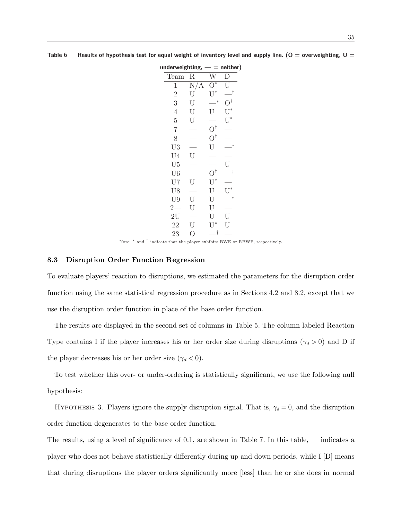| $underweighting, - = neither)$ |                |                      |                    |
|--------------------------------|----------------|----------------------|--------------------|
| Team                           | $\mathbf R$    | W                    |                    |
| 1                              | N/A            | $*$                  | Ū                  |
| $\overline{2}$                 | U              | $U^*$                | _†                 |
| 3                              | U              | $\ast$               | $\Omega^{\dagger}$ |
| $\overline{4}$                 | U              | U                    | $U^*$              |
| $\overline{5}$                 | U              |                      | $U^*$              |
| $\overline{7}$                 |                | $\mathrm{O}^\dagger$ |                    |
| 8                              |                | $\mathrm{O}^\dagger$ |                    |
| U3                             |                | U                    |                    |
| U <sub>4</sub>                 | U              |                      |                    |
| U <sub>5</sub>                 |                |                      | U                  |
| U <sub>6</sub>                 |                | O,                   | $\_^{\dagger}$     |
| U7                             | U              | $\mathrm{U}^*$       |                    |
| U8                             |                | $\mathbf U$          |                    |
| U9                             | U              | U                    | ∗                  |
| $2-$                           | U              | U                    |                    |
| 2U                             |                | $\mathbf U$          | U                  |
| 22                             | $\mathbf U$    | $\mathrm{U}^*$       | U                  |
| 23                             | $\overline{O}$ | __†                  |                    |

Table 6 Results of hypothesis test for equal weight of inventory level and supply line. (O = overweighting, U =

Note: <sup>\*</sup> and <sup>†</sup> indicate that the player exhibits BWE or RBWE, respectively.

## 8.3 Disruption Order Function Regression

To evaluate players' reaction to disruptions, we estimated the parameters for the disruption order function using the same statistical regression procedure as in Sections 4.2 and 8.2, except that we use the disruption order function in place of the base order function.

The results are displayed in the second set of columns in Table 5. The column labeled Reaction Type contains I if the player increases his or her order size during disruptions ( $\gamma_d > 0$ ) and D if the player decreases his or her order size  $(\gamma_d < 0)$ .

To test whether this over- or under-ordering is statistically significant, we use the following null hypothesis:

HYPOTHESIS 3. Players ignore the supply disruption signal. That is,  $\gamma_d = 0$ , and the disruption order function degenerates to the base order function.

The results, using a level of significance of 0.1, are shown in Table 7. In this table, — indicates a player who does not behave statistically differently during up and down periods, while I [D] means that during disruptions the player orders significantly more [less] than he or she does in normal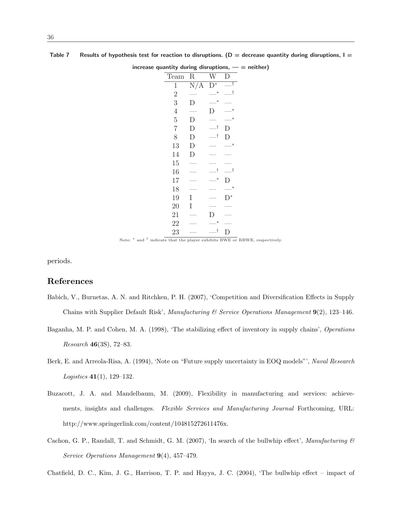|                |             |                | increase quantity during disruptions, $-$ = neither) |
|----------------|-------------|----------------|------------------------------------------------------|
| Team           | R           | W              | D                                                    |
| $\mathbf{1}$   | N/A         | $D^*$          | _†                                                   |
| $\overline{2}$ |             | $\ast$         | 一†                                                   |
| 3              | D           | ∗              |                                                      |
| $\overline{4}$ |             | I)             | ∗                                                    |
| $\bf 5$        | D           |                | ∗                                                    |
| 7              | $\mathbf D$ | Ĵ,             | D                                                    |
| $8\,$          | $\mathbf D$ | $\_^{\dagger}$ | D                                                    |
| 13             | $\mathbf D$ |                | $\ast$                                               |
| 14             | D           |                |                                                      |
| 15             |             |                |                                                      |
| 16             |             | .t             | 一十                                                   |
| 17             |             | $\ast$         | D                                                    |
| 18             |             |                | $\ast$                                               |
| 19             | Ι           |                | $D^*$                                                |
| 20             | Ι           |                |                                                      |
| 21             |             | D              |                                                      |
| 22             |             | ∗              |                                                      |
| 23             |             | $^\dagger$     | D                                                    |

Table 7 Results of hypothesis test for reaction to disruptions. ( $D =$  decrease quantity during disruptions,  $I =$ 

Note: <sup>\*</sup> and <sup>†</sup> indicate that the player exhibits BWE or RBWE, respectively.

periods.

## References

- Babich, V., Burnetas, A. N. and Ritchken, P. H. (2007), 'Competition and Diversification Effects in Supply Chains with Supplier Default Risk', Manufacturing & Service Operations Management  $9(2)$ , 123–146.
- Baganha, M. P. and Cohen, M. A. (1998), 'The stabilizing effect of inventory in supply chains', Operations Research 46(3S), 72–83.
- Berk, E. and Arreola-Risa, A. (1994), 'Note on "Future supply uncertainty in EOQ models"', Naval Research Logistics 41(1), 129–132.
- Buzacott, J. A. and Mandelbaum, M. (2009), Flexibility in manufacturing and services: achievements, insights and challenges. Flexible Services and Manufacturing Journal Forthcoming, URL: http://www.springerlink.com/content/104815272611476x.
- Cachon, G. P., Randall, T. and Schmidt, G. M. (2007), 'In search of the bullwhip effect', Manufacturing  $\mathcal{B}$ Service Operations Management 9(4), 457–479.

Chatfield, D. C., Kim, J. G., Harrison, T. P. and Hayya, J. C. (2004), 'The bullwhip effect – impact of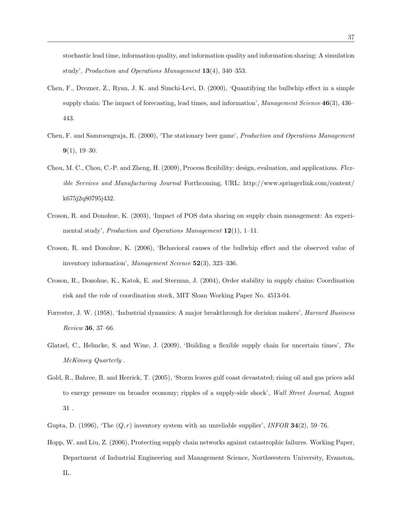stochastic lead time, information quality, and information quality and information sharing: A simulation study', Production and Operations Management 13(4), 340–353.

- Chen, F., Drezner, Z., Ryan, J. K. and Simchi-Levi, D. (2000), 'Quantifying the bullwhip effect in a simple supply chain: The impact of forecasting, lead times, and information', Management Science 46(3), 436– 443.
- Chen, F. and Samroengraja, R. (2000), 'The stationary beer game', Production and Operations Management  $9(1)$ ,  $19-30$ .
- Chou, M. C., Chou, C.-P. and Zheng, H. (2009), Process flexibility: design, evaluation, and applications. Flexible Services and Manufacturing Journal Forthcoming, URL: http://www.springerlink.com/content/ k675j2q80795j432.
- Croson, R. and Donohue, K. (2003), 'Impact of POS data sharing on supply chain management: An experimental study', Production and Operations Management  $12(1)$ , 1-11.
- Croson, R. and Donohue, K. (2006), 'Behavioral causes of the bullwhip effect and the observed value of inventory information', Management Science 52(3), 323-336.
- Croson, R., Donohue, K., Katok, E. and Sterman, J. (2004), Order stability in supply chains: Coordination risk and the role of coordination stock, MIT Sloan Working Paper No. 4513-04.
- Forrester, J. W. (1958), 'Industrial dynamics: A major breakthrough for decision makers', Harvard Business Review 36, 37–66.
- Glatzel, C., Helmcke, S. and Wine, J. (2009), 'Building a flexible supply chain for uncertain times', The McKinsey Quarterly .
- Gold, R., Bahree, B. and Herrick, T. (2005), 'Storm leaves gulf coast devastated; rising oil and gas prices add to energy pressure on broader economy; ripples of a supply-side shock', Wall Street Journal, August 31 .
- Gupta, D. (1996), 'The  $(Q, r)$  inventory system with an unreliable supplier', INFOR 34(2), 59–76.
- Hopp, W. and Liu, Z. (2006), Protecting supply chain networks against catastrophic failures. Working Paper, Department of Industrial Engineering and Management Science, Northwestern University, Evanston, IL.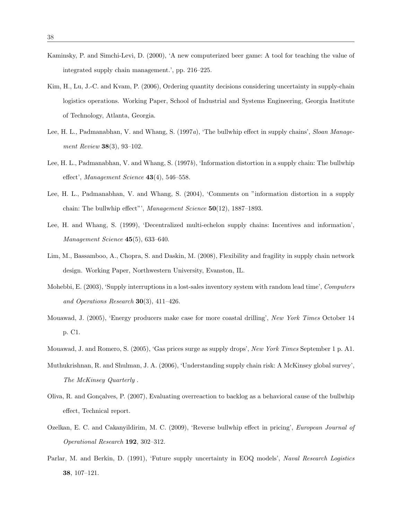- Kaminsky, P. and Simchi-Levi, D. (2000), 'A new computerized beer game: A tool for teaching the value of integrated supply chain management.', pp. 216–225.
- Kim, H., Lu, J.-C. and Kvam, P. (2006), Ordering quantity decisions considering uncertainty in supply-chain logistics operations. Working Paper, School of Industrial and Systems Engineering, Georgia Institute of Technology, Atlanta, Georgia.
- Lee, H. L., Padmanabhan, V. and Whang, S. (1997a), 'The bullwhip effect in supply chains', Sloan Management Review 38(3), 93–102.
- Lee, H. L., Padmanabhan, V. and Whang, S. (1997b), 'Information distortion in a supply chain: The bullwhip effect', Management Science  $43(4)$ , 546-558.
- Lee, H. L., Padmanabhan, V. and Whang, S. (2004), 'Comments on "information distortion in a supply chain: The bullwhip effect"', Management Science  $50(12)$ , 1887–1893.
- Lee, H. and Whang, S. (1999), 'Decentralized multi-echelon supply chains: Incentives and information', Management Science 45(5), 633–640.
- Lim, M., Bassamboo, A., Chopra, S. and Daskin, M. (2008), Flexibility and fragility in supply chain network design. Working Paper, Northwestern University, Evanston, IL.
- Mohebbi, E. (2003), 'Supply interruptions in a lost-sales inventory system with random lead time', Computers and Operations Research 30(3), 411–426.
- Mouawad, J. (2005), 'Energy producers make case for more coastal drilling', New York Times October 14 p. C1.
- Mouawad, J. and Romero, S. (2005), 'Gas prices surge as supply drops', New York Times September 1 p. A1.
- Muthukrishnan, R. and Shulman, J. A. (2006), 'Understanding supply chain risk: A McKinsey global survey', The McKinsey Quarterly .
- Oliva, R. and Gonçalves, P. (2007), Evaluating overreaction to backlog as a behavioral cause of the bullwhip effect, Technical report.
- Ozelkan, E. C. and Cakanyildirim, M. C. (2009), 'Reverse bullwhip effect in pricing', European Journal of Operational Research 192, 302–312.
- Parlar, M. and Berkin, D. (1991), 'Future supply uncertainty in EOQ models', Naval Research Logistics 38, 107–121.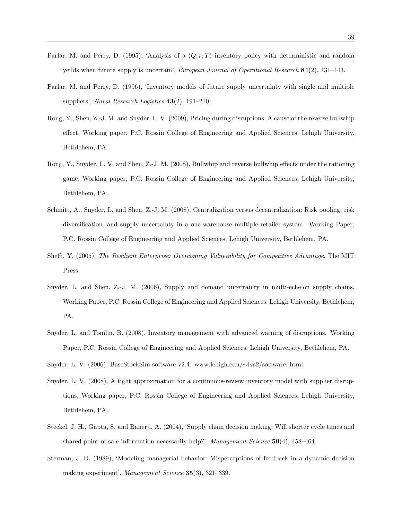- Parlar, M. and Perry, D. (1995), 'Analysis of a  $(Q; r; T)$  inventory policy with deterministic and random yeilds when future supply is uncertain', European Journal of Operational Research 84(2), 431-443.
- Parlar, M. and Perry, D. (1996), 'Inventory models of future supply uncertainty with single and multiple suppliers', Naval Research Logistics 43(2), 191-210.
- Rong, Y., Shen, Z.-J. M. and Snyder, L. V. (2009), Pricing during disruptions: A cause of the reverse bullwhip effect, Working paper, P.C. Rossin College of Engineering and Applied Sciences, Lehigh University, Bethlehem, PA.
- Rong, Y., Snyder, L. V. and Shen, Z.-J. M. (2008), Bullwhip and reverse bullwhip effects under the rationing game, Working paper, P.C. Rossin College of Engineering and Applied Sciences, Lehigh University, Bethlehem, PA.
- Schmitt, A., Snyder, L. and Shen, Z.-J. M. (2008), Centralization versus decentralization: Risk pooling, risk diversification, and supply uncertainty in a one-warehouse multiple-retailer system. Working Paper, P.C. Rossin College of Engineering and Applied Sciences, Lehigh University, Bethlehem, PA.
- Sheffi, Y. (2005), The Resilient Enterprise: Overcoming Vulnerability for Competitive Advantage, The MIT Press.
- Snyder, L. and Shen, Z.-J. M. (2006), Supply and demand uncertainty in multi-echelon supply chains. Working Paper, P.C. Rossin College of Engineering and Applied Sciences, Lehigh University, Bethlehem, PA.
- Snyder, L. and Tomlin, B. (2008), Inventory management with advanced warning of disruptions. Working Paper, P.C. Rossin College of Engineering and Applied Sciences, Lehigh University, Bethlehem, PA.
- Snyder, L. V. (2006), BaseStockSim software v2.4. www.lehigh.edu/∼lvs2/software. html.
- Snyder, L. V. (2008), A tight approximation for a continuous-review inventory model with supplier disruptions, Working paper, P.C. Rossin College of Engineering and Applied Sciences, Lehigh University, Bethlehem, PA.
- Steckel, J. H., Gupta, S. and Banerji, A. (2004), 'Supply chain decision making: Will shorter cycle times and shared point-of-sale information necessarily help?', *Management Science*  $50(4)$ ,  $458-464$ .
- Sterman, J. D. (1989), 'Modeling managerial behavior: Misperceptions of feedback in a dynamic decision making experiment', Management Science 35(3), 321-339.